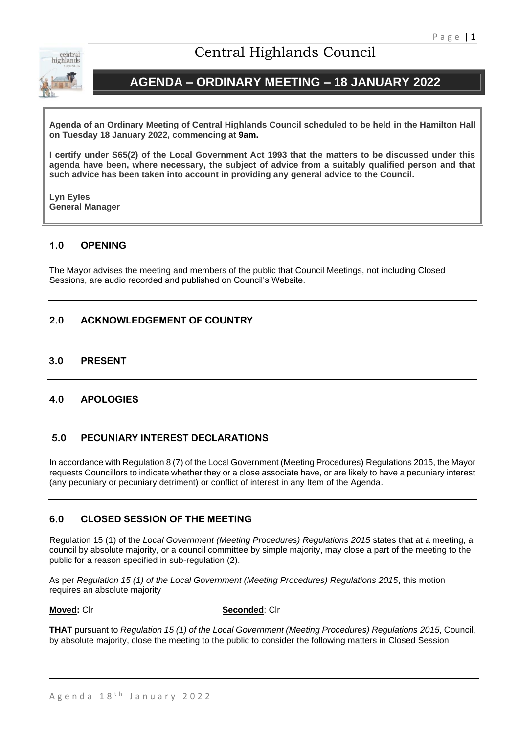

# Central Highlands Council

# **AGENDA – ORDINARY MEETING – 18 JANUARY 2022**

**Agenda of an Ordinary Meeting of Central Highlands Council scheduled to be held in the Hamilton Hall on Tuesday 18 January 2022, commencing at 9am.**

**I certify under S65(2) of the Local Government Act 1993 that the matters to be discussed under this agenda have been, where necessary, the subject of advice from a suitably qualified person and that such advice has been taken into account in providing any general advice to the Council.** 

**Lyn Eyles General Manager**

# **1.0 OPENING**

The Mayor advises the meeting and members of the public that Council Meetings, not including Closed Sessions, are audio recorded and published on Council's Website.

# **2.0 ACKNOWLEDGEMENT OF COUNTRY**

# **3.0 PRESENT**

# **4.0 APOLOGIES**

# **5.0 PECUNIARY INTEREST DECLARATIONS**

In accordance with Regulation 8 (7) of the Local Government (Meeting Procedures) Regulations 2015, the Mayor requests Councillors to indicate whether they or a close associate have, or are likely to have a pecuniary interest (any pecuniary or pecuniary detriment) or conflict of interest in any Item of the Agenda.

# **6.0 CLOSED SESSION OF THE MEETING**

Regulation 15 (1) of the *Local Government (Meeting Procedures) Regulations 2015* states that at a meeting, a council by absolute majority, or a council committee by simple majority, may close a part of the meeting to the public for a reason specified in sub-regulation (2).

As per *Regulation 15 (1) of the Local Government (Meeting Procedures) Regulations 2015*, this motion requires an absolute majority

**Moved:** Clr **Seconded**: Clr

**THAT** pursuant to *Regulation 15 (1) of the Local Government (Meeting Procedures) Regulations 2015*, Council, by absolute majority, close the meeting to the public to consider the following matters in Closed Session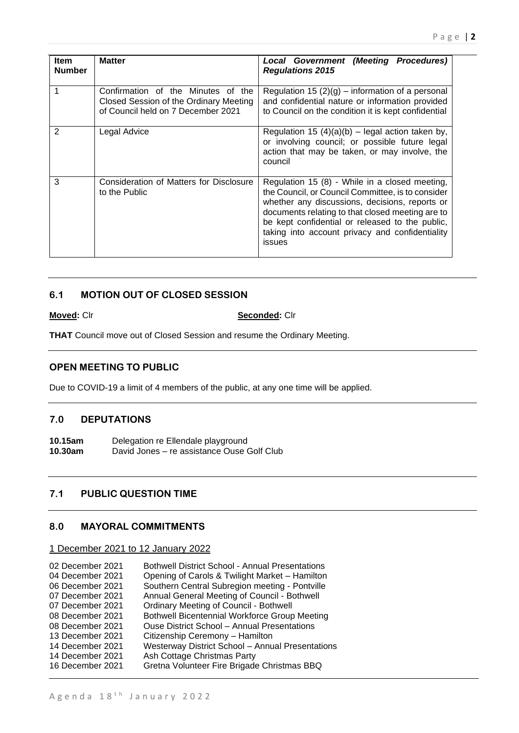| <b>Item</b><br><b>Number</b> | <b>Matter</b>                                                                                                      | Local Government (Meeting Procedures)<br><b>Regulations 2015</b>                                                                                                                                                                                                                                                          |  |  |  |  |  |
|------------------------------|--------------------------------------------------------------------------------------------------------------------|---------------------------------------------------------------------------------------------------------------------------------------------------------------------------------------------------------------------------------------------------------------------------------------------------------------------------|--|--|--|--|--|
| 1                            | Confirmation of the Minutes of the<br>Closed Session of the Ordinary Meeting<br>of Council held on 7 December 2021 | Regulation 15 $(2)(g)$ – information of a personal<br>and confidential nature or information provided<br>to Council on the condition it is kept confidential                                                                                                                                                              |  |  |  |  |  |
| 2                            | Legal Advice                                                                                                       | Regulation 15 $(4)(a)(b)$ – legal action taken by,<br>or involving council; or possible future legal<br>action that may be taken, or may involve, the<br>council                                                                                                                                                          |  |  |  |  |  |
| 3                            | Consideration of Matters for Disclosure<br>to the Public                                                           | Regulation 15 (8) - While in a closed meeting,<br>the Council, or Council Committee, is to consider<br>whether any discussions, decisions, reports or<br>documents relating to that closed meeting are to<br>be kept confidential or released to the public,<br>taking into account privacy and confidentiality<br>issues |  |  |  |  |  |

# **6.1 MOTION OUT OF CLOSED SESSION**

## **Moved:** Clr **Seconded:** Clr

**THAT** Council move out of Closed Session and resume the Ordinary Meeting.

# **OPEN MEETING TO PUBLIC**

Due to COVID-19 a limit of 4 members of the public, at any one time will be applied.

# **7.0 DEPUTATIONS**

10.15am Delegation re Ellendale playground<br>10.30am David Jones – re assistance Ouse ( **10.30am** David Jones – re assistance Ouse Golf Club

# **7.1 PUBLIC QUESTION TIME**

# **8.0 MAYORAL COMMITMENTS**

# 1 December 2021 to 12 January 2022

| 02 December 2021 | <b>Bothwell District School - Annual Presentations</b>  |
|------------------|---------------------------------------------------------|
| 04 December 2021 | Opening of Carols & Twilight Market - Hamilton          |
| 06 December 2021 | Southern Central Subregion meeting - Pontville          |
| 07 December 2021 | Annual General Meeting of Council - Bothwell            |
| 07 December 2021 | <b>Ordinary Meeting of Council - Bothwell</b>           |
| 08 December 2021 | <b>Bothwell Bicentennial Workforce Group Meeting</b>    |
| 08 December 2021 | <b>Ouse District School - Annual Presentations</b>      |
| 13 December 2021 | Citizenship Ceremony - Hamilton                         |
| 14 December 2021 | <b>Westerway District School - Annual Presentations</b> |
| 14 December 2021 | Ash Cottage Christmas Party                             |
| 16 December 2021 | Gretna Volunteer Fire Brigade Christmas BBQ             |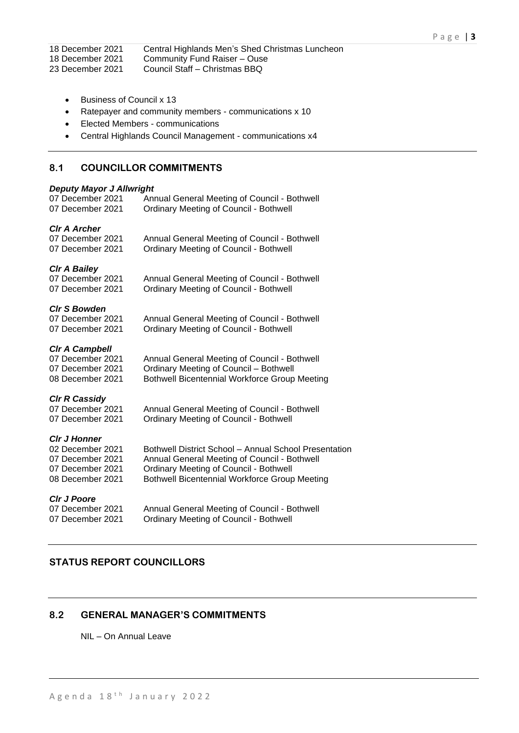18 December 2021 Central Highlands Men's Shed Christmas Luncheon

18 December 2021 Community Fund Raiser – Ouse

23 December 2021 Council Staff – Christmas BBQ

- Business of Council x 13
- Ratepayer and community members communications x 10
- Elected Members communications
- Central Highlands Council Management communications x4

# **8.1 COUNCILLOR COMMITMENTS**

## *Deputy Mayor J Allwright*

| 07 December 2021      | Annual General Meeting of Council - Bothwell          |
|-----------------------|-------------------------------------------------------|
| 07 December 2021      | <b>Ordinary Meeting of Council - Bothwell</b>         |
| <b>CIr A Archer</b>   |                                                       |
| 07 December 2021      | Annual General Meeting of Council - Bothwell          |
| 07 December 2021      | <b>Ordinary Meeting of Council - Bothwell</b>         |
| <b>CIr A Bailey</b>   |                                                       |
| 07 December 2021      | Annual General Meeting of Council - Bothwell          |
| 07 December 2021      | <b>Ordinary Meeting of Council - Bothwell</b>         |
| <b>CIr S Bowden</b>   |                                                       |
| 07 December 2021      | Annual General Meeting of Council - Bothwell          |
| 07 December 2021      | <b>Ordinary Meeting of Council - Bothwell</b>         |
| <b>CIr A Campbell</b> |                                                       |
| 07 December 2021      | Annual General Meeting of Council - Bothwell          |
| 07 December 2021      | <b>Ordinary Meeting of Council - Bothwell</b>         |
| 08 December 2021      | Bothwell Bicentennial Workforce Group Meeting         |
| <b>CIr R Cassidy</b>  |                                                       |
| 07 December 2021      | Annual General Meeting of Council - Bothwell          |
| 07 December 2021      | <b>Ordinary Meeting of Council - Bothwell</b>         |
| <b>CIr J Honner</b>   |                                                       |
| 02 December 2021      | Bothwell District School - Annual School Presentation |
| 07 December 2021      | Annual General Meeting of Council - Bothwell          |
| 07 December 2021      | <b>Ordinary Meeting of Council - Bothwell</b>         |
| 08 December 2021      | Bothwell Bicentennial Workforce Group Meeting         |
| <b>CIr J Poore</b>    |                                                       |
| 07 December 2021      | Annual General Meeting of Council - Bothwell          |
| 07 December 2021      | <b>Ordinary Meeting of Council - Bothwell</b>         |

# **STATUS REPORT COUNCILLORS**

# **8.2 GENERAL MANAGER'S COMMITMENTS**

NIL – On Annual Leave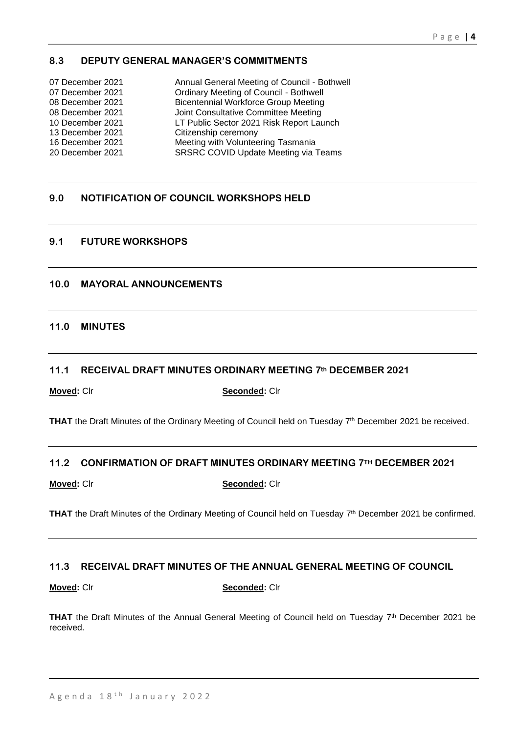# **8.3 DEPUTY GENERAL MANAGER'S COMMITMENTS**

| 07 December 2021 | Annual General Meeting of Council - Bothwell  |
|------------------|-----------------------------------------------|
| 07 December 2021 | <b>Ordinary Meeting of Council - Bothwell</b> |
| 08 December 2021 | <b>Bicentennial Workforce Group Meeting</b>   |
| 08 December 2021 | Joint Consultative Committee Meeting          |
| 10 December 2021 | LT Public Sector 2021 Risk Report Launch      |
| 13 December 2021 | Citizenship ceremony                          |
| 16 December 2021 | Meeting with Volunteering Tasmania            |
| 20 December 2021 | <b>SRSRC COVID Update Meeting via Teams</b>   |

# **9.0 NOTIFICATION OF COUNCIL WORKSHOPS HELD**

# **9.1 FUTURE WORKSHOPS**

# **10.0 MAYORAL ANNOUNCEMENTS**

## **11.0 MINUTES**

## **11.1 RECEIVAL DRAFT MINUTES ORDINARY MEETING 7th DECEMBER 2021**

**Moved:** Clr **Seconded:** Clr

THAT the Draft Minutes of the Ordinary Meeting of Council held on Tuesday 7<sup>th</sup> December 2021 be received.

## **11.2 CONFIRMATION OF DRAFT MINUTES ORDINARY MEETING 7TH DECEMBER 2021**

**Moved:** Clr **Seconded:** Clr

THAT the Draft Minutes of the Ordinary Meeting of Council held on Tuesday 7<sup>th</sup> December 2021 be confirmed.

## **11.3 RECEIVAL DRAFT MINUTES OF THE ANNUAL GENERAL MEETING OF COUNCIL**

**Moved:** Clr **Seconded:** Clr

**THAT** the Draft Minutes of the Annual General Meeting of Council held on Tuesday  $7<sup>th</sup>$  December 2021 be received.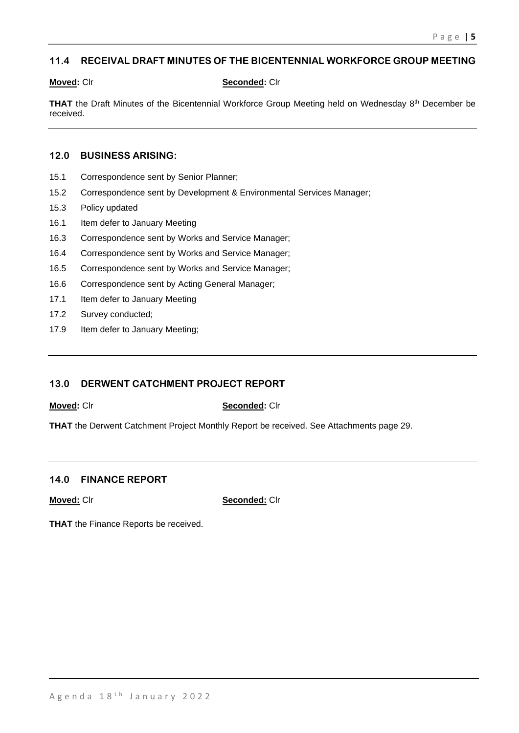# **11.4 RECEIVAL DRAFT MINUTES OF THE BICENTENNIAL WORKFORCE GROUP MEETING**

## **Moved:** Clr **Seconded:** Clr

**THAT** the Draft Minutes of the Bicentennial Workforce Group Meeting held on Wednesday 8<sup>th</sup> December be received.

## **12.0 BUSINESS ARISING:**

- 15.1 Correspondence sent by Senior Planner;
- 15.2 Correspondence sent by Development & Environmental Services Manager;
- 15.3 Policy updated
- 16.1 Item defer to January Meeting
- 16.3 Correspondence sent by Works and Service Manager;
- 16.4 Correspondence sent by Works and Service Manager;
- 16.5 Correspondence sent by Works and Service Manager;
- 16.6 Correspondence sent by Acting General Manager;
- 17.1 Item defer to January Meeting
- 17.2 Survey conducted;
- 17.9 Item defer to January Meeting;

# **13.0 DERWENT CATCHMENT PROJECT REPORT**

**Moved:** Clr **Seconded:** Clr

**THAT** the Derwent Catchment Project Monthly Report be received. See Attachments page 29.

## **14.0 FINANCE REPORT**

**Moved:** Clr **Seconded:** Clr

**THAT** the Finance Reports be received.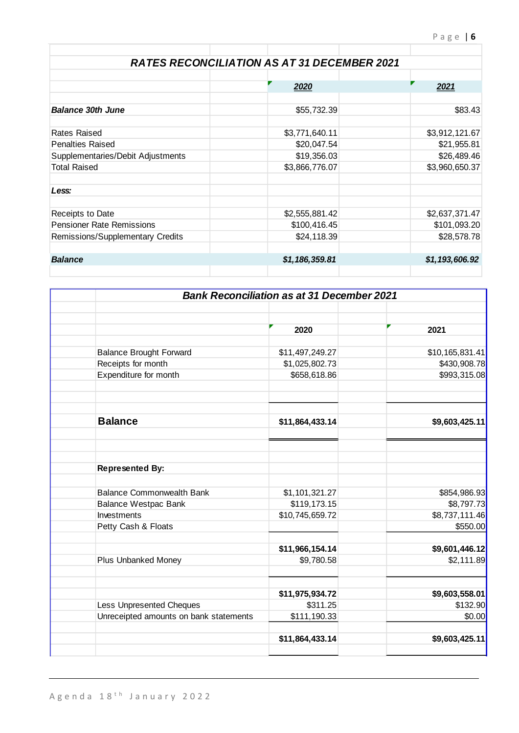|                                   | <b>RATES RECONCILIATION AS AT 31 DECEMBER 2021</b> |                |
|-----------------------------------|----------------------------------------------------|----------------|
|                                   |                                                    |                |
|                                   | 2020                                               | 2021           |
| <b>Balance 30th June</b>          | \$55,732.39                                        | \$83.43        |
| Rates Raised                      | \$3,771,640.11                                     | \$3,912,121.67 |
| <b>Penalties Raised</b>           | \$20,047.54                                        | \$21,955.81    |
| Supplementaries/Debit Adjustments | \$19,356.03                                        | \$26,489.46    |
| <b>Total Raised</b>               | \$3,866,776.07                                     | \$3,960,650.37 |
| Less:                             |                                                    |                |
| Receipts to Date                  | \$2,555,881.42                                     | \$2,637,371.47 |
| <b>Pensioner Rate Remissions</b>  | \$100,416.45                                       | \$101,093.20   |
| Remissions/Supplementary Credits  | \$24,118.39                                        | \$28,578.78    |
| <b>Balance</b>                    | \$1,186,359.81                                     | \$1,193,606.92 |
|                                   |                                                    |                |

|                                        | <b>Bank Reconciliation as at 31 December 2021</b> |                 |
|----------------------------------------|---------------------------------------------------|-----------------|
|                                        | 2020                                              | 2021            |
|                                        |                                                   |                 |
| <b>Balance Brought Forward</b>         | \$11,497,249.27                                   | \$10,165,831.41 |
| Receipts for month                     | \$1,025,802.73                                    | \$430,908.78    |
| Expenditure for month                  | \$658,618.86                                      | \$993,315.08    |
|                                        |                                                   |                 |
| <b>Balance</b>                         | \$11,864,433.14                                   | \$9,603,425.11  |
| <b>Represented By:</b>                 |                                                   |                 |
|                                        |                                                   |                 |
| <b>Balance Commonwealth Bank</b>       | \$1,101,321.27                                    | \$854,986.93    |
| <b>Balance Westpac Bank</b>            | \$119,173.15                                      | \$8,797.73      |
| Investments                            | \$10,745,659.72                                   | \$8,737,111.46  |
| Petty Cash & Floats                    |                                                   | \$550.00        |
|                                        | \$11,966,154.14                                   | \$9,601,446.12  |
| <b>Plus Unbanked Money</b>             | \$9,780.58                                        | \$2,111.89      |
|                                        | \$11,975,934.72                                   | \$9,603,558.01  |
| Less Unpresented Cheques               | \$311.25                                          | \$132.90        |
| Unreceipted amounts on bank statements | \$111,190.33                                      | \$0.00          |
|                                        | \$11,864,433.14                                   | \$9,603,425.11  |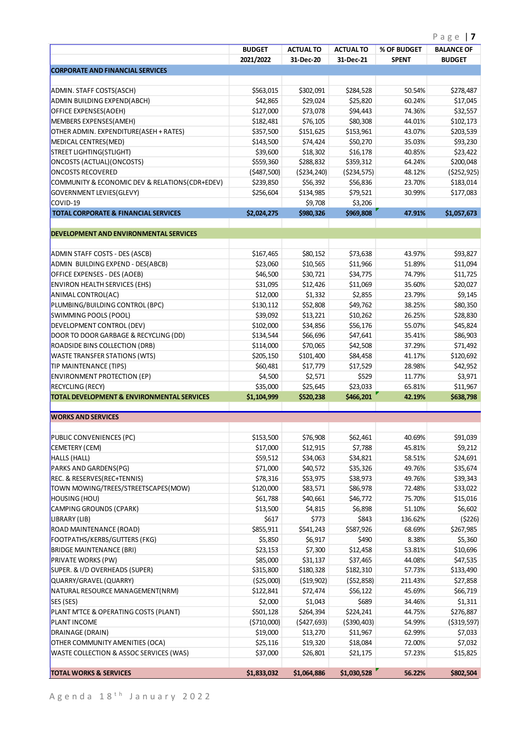|                                                               | <b>BUDGET</b>           | <b>ACTUAL TO</b>      | <b>ACTUAL TO</b>      | % OF BUDGET      | <b>BALANCE OF</b>     |
|---------------------------------------------------------------|-------------------------|-----------------------|-----------------------|------------------|-----------------------|
|                                                               | 2021/2022               | 31-Dec-20             | 31-Dec-21             | <b>SPENT</b>     | <b>BUDGET</b>         |
| <b>CORPORATE AND FINANCIAL SERVICES</b>                       |                         |                       |                       |                  |                       |
|                                                               |                         |                       |                       |                  |                       |
| ADMIN. STAFF COSTS(ASCH)                                      | \$563,015               | \$302,091             | \$284,528             | 50.54%           | \$278,487             |
| ADMIN BUILDING EXPEND(ABCH)                                   | \$42,865                | \$29,024              | \$25,820              | 60.24%           | \$17,045              |
| OFFICE EXPENSES(AOEH)                                         | \$127,000               | \$73,078              | \$94,443              | 74.36%           | \$32,557              |
| MEMBERS EXPENSES(AMEH)                                        | \$182,481               | \$76,105              | \$80,308              | 44.01%           | \$102,173             |
| OTHER ADMIN. EXPENDITURE(ASEH + RATES)                        | \$357,500               | \$151,625             | \$153,961             | 43.07%           | \$203,539             |
| MEDICAL CENTRES(MED)                                          | \$143,500               | \$74,424              | \$50,270              | 35.03%           | \$93,230              |
| STREET LIGHTING(STLIGHT)                                      | \$39,600                | \$18,302              | \$16,178              | 40.85%           | \$23,422              |
| ONCOSTS (ACTUAL) (ONCOSTS)                                    | \$559,360               | \$288,832             | \$359,312             | 64.24%           | \$200,048             |
| <b>ONCOSTS RECOVERED</b>                                      | (5487,500)              | ( \$234, 240)         | ( \$234, 575)         | 48.12%           | ( \$252, 925)         |
| COMMUNITY & ECONOMIC DEV & RELATIONS(CDR+EDEV)                | \$239,850               | \$56,392              | \$56,836              | 23.70%           | \$183,014             |
| GOVERNMENT LEVIES(GLEVY)                                      | \$256,604               | \$134,985             | \$79,521              | 30.99%           | \$177,083             |
| COVID-19                                                      |                         | \$9,708               | \$3,206               |                  |                       |
| <b>TOTAL CORPORATE &amp; FINANCIAL SERVICES</b>               | \$2,024,275             | \$980,326             | \$969,808             | 47.91%           | \$1,057,673           |
|                                                               |                         |                       |                       |                  |                       |
| <b>DEVELOPMENT AND ENVIRONMENTAL SERVICES</b>                 |                         |                       |                       |                  |                       |
| ADMIN STAFF COSTS - DES (ASCB)                                | \$167,465               | \$80,152              | \$73,638              | 43.97%           | \$93,827              |
| ADMIN BUILDING EXPEND - DES(ABCB)                             | \$23,060                | \$10,565              | \$11,966              | 51.89%           | \$11,094              |
| OFFICE EXPENSES - DES (AOEB)                                  | \$46,500                | \$30,721              | \$34,775              | 74.79%           | \$11,725              |
| <b>ENVIRON HEALTH SERVICES (EHS)</b>                          | \$31,095                | \$12,426              | \$11,069              | 35.60%           | \$20,027              |
| ANIMAL CONTROL(AC)                                            | \$12,000                | \$1,332               | \$2,855               | 23.79%           | \$9,145               |
| PLUMBING/BUILDING CONTROL (BPC)                               | \$130,112               | \$52,808              | \$49,762              | 38.25%           | \$80,350              |
| SWIMMING POOLS (POOL)                                         | \$39,092                | \$13,221              | \$10,262              | 26.25%           | \$28,830              |
| DEVELOPMENT CONTROL (DEV)                                     | \$102,000               | \$34,856              | \$56,176              | 55.07%           | \$45,824              |
| DOOR TO DOOR GARBAGE & RECYCLING (DD)                         | \$134,544               | \$66,696              | \$47,641              | 35.41%           | \$86,903              |
| ROADSIDE BINS COLLECTION (DRB)                                |                         | \$70,065              | \$42,508              | 37.29%           | \$71,492              |
| <b>WASTE TRANSFER STATIONS (WTS)</b>                          | \$114,000<br>\$205,150  | \$101,400             | \$84,458              | 41.17%           | \$120,692             |
|                                                               |                         |                       |                       |                  |                       |
| TIP MAINTENANCE (TIPS)                                        | \$60,481                | \$17,779              | \$17,529              | 28.98%           | \$42,952              |
| <b>ENVIRONMENT PROTECTION (EP)</b><br><b>RECYCLING (RECY)</b> | \$4,500                 | \$2,571               | \$529                 | 11.77%           | \$3,971               |
| <b>TOTAL DEVELOPMENT &amp; ENVIRONMENTAL SERVICES</b>         | \$35,000<br>\$1,104,999 | \$25,645<br>\$520,238 | \$23,033<br>\$466,201 | 65.81%<br>42.19% | \$11,967<br>\$638,798 |
|                                                               |                         |                       |                       |                  |                       |
| <b>WORKS AND SERVICES</b>                                     |                         |                       |                       |                  |                       |
|                                                               |                         |                       |                       |                  |                       |
| PUBLIC CONVENIENCES (PC)                                      | \$153,500               | \$76,908              | \$62,461              | 40.69%           | \$91,039              |
| CEMETERY (CEM)                                                | \$17,000                | \$12,915              | \$7,788               | 45.81%           | \$9,212               |
| HALLS (HALL)                                                  | \$59,512                | \$34,063              | \$34,821              | 58.51%           | \$24,691              |
| PARKS AND GARDENS(PG)                                         | \$71,000                | \$40,572              | \$35,326              | 49.76%           | \$35,674              |
| REC. & RESERVES(REC+TENNIS)                                   | \$78,316                | \$53,975              | \$38,973              | 49.76%           | \$39,343              |
| TOWN MOWING/TREES/STREETSCAPES(MOW)                           | \$120,000               | \$83,571              | \$86,978              | 72.48%           | \$33,022              |
| HOUSING (HOU)                                                 | \$61,788                | \$40,661              | \$46,772              | 75.70%           | \$15,016              |
| CAMPING GROUNDS (CPARK)                                       | \$13,500                | \$4,815               | \$6,898               | 51.10%           | \$6,602               |
| LIBRARY (LIB)                                                 | \$617                   | \$773                 | \$843                 | 136.62%          | (5226)                |
| ROAD MAINTENANCE (ROAD)                                       | \$855,911               | \$541,243             | \$587,926             | 68.69%           | \$267,985             |
| FOOTPATHS/KERBS/GUTTERS (FKG)                                 | \$5,850                 | \$6,917               | \$490                 | 8.38%            | \$5,360               |
| <b>BRIDGE MAINTENANCE (BRI)</b>                               | \$23,153                | \$7,300               | \$12,458              | 53.81%           | \$10,696              |
| <b>PRIVATE WORKS (PW)</b>                                     | \$85,000                | \$31,137              | \$37,465              | 44.08%           | \$47,535              |
| SUPER. & I/D OVERHEADS (SUPER)                                | \$315,800               | \$180,328             | \$182,310             | 57.73%           | \$133,490             |
| QUARRY/GRAVEL (QUARRY)                                        | ( \$25,000)             | ( \$19,902)           | ( \$52, 858)          | 211.43%          | \$27,858              |
| NATURAL RESOURCE MANAGEMENT(NRM)                              | \$122,841               | \$72,474              | \$56,122              | 45.69%           | \$66,719              |
| SES (SES)                                                     | \$2,000                 | \$1,043               | \$689                 | 34.46%           | \$1,311               |
| PLANT M'TCE & OPERATING COSTS (PLANT)                         | \$501,128               | \$264,394             | \$224,241             | 44.75%           | \$276,887             |
| <b>PLANT INCOME</b>                                           | ( \$710,000)            | (5427, 693)           | ( \$390, 403)         | 54.99%           | ( \$319, 597)         |
| DRAINAGE (DRAIN)                                              | \$19,000                | \$13,270              | \$11,967              | 62.99%           | \$7,033               |
| OTHER COMMUNITY AMENITIES (OCA)                               | \$25,116                | \$19,320              | \$18,084              | 72.00%           | \$7,032               |
| <b>WASTE COLLECTION &amp; ASSOC SERVICES (WAS)</b>            | \$37,000                | \$26,801              | \$21,175              | 57.23%           | \$15,825              |
|                                                               |                         |                       |                       |                  |                       |
| <b>TOTAL WORKS &amp; SERVICES</b>                             | \$1,833,032             | \$1,064,886           | \$1,030,528           | 56.22%           | \$802,504             |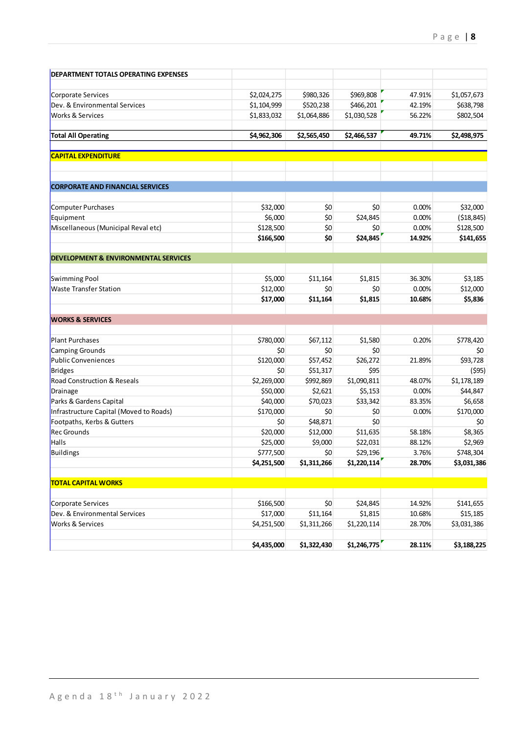| <b>DEPARTMENT TOTALS OPERATING EXPENSES</b>         |                            |                        |                         |                 |                          |
|-----------------------------------------------------|----------------------------|------------------------|-------------------------|-----------------|--------------------------|
|                                                     |                            |                        |                         | 47.91%          |                          |
| Corporate Services<br>Dev. & Environmental Services | \$2,024,275<br>\$1,104,999 | \$980,326<br>\$520,238 | \$969,808<br>\$466,201  | 42.19%          | \$1,057,673<br>\$638,798 |
| Works & Services                                    | \$1,833,032                | \$1,064,886            | \$1,030,528             | 56.22%          | \$802,504                |
|                                                     |                            |                        |                         |                 |                          |
| <b>Total All Operating</b>                          | \$4,962,306                | \$2,565,450            | \$2,466,537             | 49.71%          | \$2,498,975              |
| <b>CAPITAL EXPENDITURE</b>                          |                            |                        |                         |                 |                          |
| <b>CORPORATE AND FINANCIAL SERVICES</b>             |                            |                        |                         |                 |                          |
| <b>Computer Purchases</b>                           | \$32,000                   | \$0                    | \$0                     | 0.00%           | \$32,000                 |
| Equipment                                           | \$6,000                    | \$0                    | \$24,845                | 0.00%           | ( \$18, 845)             |
| Miscellaneous (Municipal Reval etc)                 | \$128,500                  | \$0                    | \$0                     | 0.00%           | \$128,500                |
|                                                     | \$166,500                  | \$0                    | \$24,845                | 14.92%          | \$141,655                |
| <b>DEVELOPMENT &amp; ENVIRONMENTAL SERVICES</b>     |                            |                        |                         |                 |                          |
| Swimming Pool                                       | \$5,000                    | \$11,164               | \$1,815                 | 36.30%          | \$3,185                  |
| <b>Waste Transfer Station</b>                       | \$12,000                   | \$0                    | \$0                     | 0.00%           | \$12,000                 |
|                                                     | \$17,000                   | \$11,164               | \$1,815                 | 10.68%          | \$5,836                  |
| <b>WORKS &amp; SERVICES</b>                         |                            |                        |                         |                 |                          |
| <b>Plant Purchases</b>                              | \$780,000                  | \$67,112               | \$1,580                 | 0.20%           | \$778,420                |
| Camping Grounds                                     | \$0                        | \$0                    | \$0                     |                 | \$0                      |
| Public Conveniences                                 | \$120,000                  | \$57,452               | \$26,272                | 21.89%          | \$93,728                 |
| Bridges                                             | \$0                        | \$51,317               | \$95                    |                 | (595)                    |
| Road Construction & Reseals                         | \$2,269,000                | \$992,869              | \$1,090,811             | 48.07%          | \$1,178,189              |
| Drainage                                            | \$50,000                   | \$2,621                | \$5,153                 | 0.00%           | \$44,847                 |
| Parks & Gardens Capital                             | \$40,000                   | \$70,023               | \$33,342                | 83.35%          | \$6,658                  |
| Infrastructure Capital (Moved to Roads)             | \$170,000                  | \$0                    | \$0                     | 0.00%           | \$170,000                |
| Footpaths, Kerbs & Gutters                          | \$0                        | \$48,871               | \$0                     |                 | \$0                      |
| <b>Rec Grounds</b>                                  | \$20,000                   | \$12,000               | \$11,635                | 58.18%          | \$8,365                  |
| Halls                                               | \$25,000                   | \$9,000                | \$22,031                | 88.12%          | \$2,969                  |
| Buildings                                           | \$777,500<br>\$4,251,500   | \$0<br>\$1,311,266     | \$29,196<br>\$1,220,114 | 3.76%<br>28.70% | \$748,304<br>\$3,031,386 |
|                                                     |                            |                        |                         |                 |                          |
| <b>TOTAL CAPITAL WORKS</b>                          |                            |                        |                         |                 |                          |
| Corporate Services                                  | \$166,500                  | \$0                    | \$24,845                | 14.92%          | \$141,655                |
| Dev. & Environmental Services                       | \$17,000                   | \$11,164               | \$1,815                 | 10.68%          | \$15,185                 |
| <b>Works &amp; Services</b>                         | \$4,251,500                | \$1,311,266            | \$1,220,114             | 28.70%          | \$3,031,386              |
|                                                     | \$4,435,000                | \$1,322,430            | \$1,246,775             | 28.11%          | \$3,188,225              |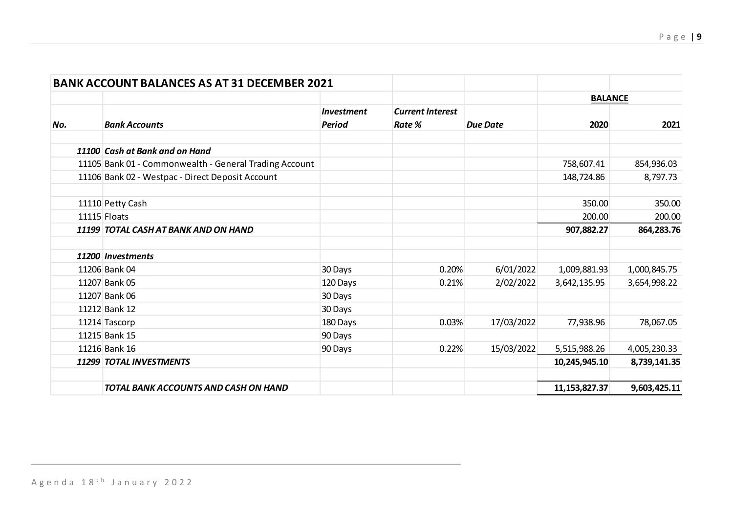|     | <b>BANK ACCOUNT BALANCES AS AT 31 DECEMBER 2021</b>    |                          |                         |                 |                  |              |
|-----|--------------------------------------------------------|--------------------------|-------------------------|-----------------|------------------|--------------|
|     |                                                        |                          |                         |                 | <b>BALANCE</b>   |              |
|     |                                                        | <i><b>Investment</b></i> | <b>Current Interest</b> |                 |                  |              |
| No. | <b>Bank Accounts</b>                                   | <b>Period</b>            | Rate %                  | <b>Due Date</b> | 2020             | 2021         |
|     | 11100 Cash at Bank and on Hand                         |                          |                         |                 |                  |              |
|     | 11105 Bank 01 - Commonwealth - General Trading Account |                          |                         |                 | 758,607.41       | 854,936.03   |
|     | 11106 Bank 02 - Westpac - Direct Deposit Account       |                          |                         |                 | 148,724.86       | 8,797.73     |
|     | 11110 Petty Cash                                       |                          |                         |                 | 350.00           | 350.00       |
|     | 11115 Floats                                           |                          |                         |                 | 200.00           | 200.00       |
|     | 11199 TOTAL CASH AT BANK AND ON HAND                   |                          |                         |                 | 907,882.27       | 864,283.76   |
|     | 11200 Investments                                      |                          |                         |                 |                  |              |
|     | 11206 Bank 04                                          | 30 Days                  | 0.20%                   | 6/01/2022       | 1,009,881.93     | 1,000,845.75 |
|     | 11207 Bank 05                                          | 120 Days                 | 0.21%                   | 2/02/2022       | 3,642,135.95     | 3,654,998.22 |
|     | 11207 Bank 06                                          | 30 Days                  |                         |                 |                  |              |
|     | 11212 Bank 12                                          | 30 Days                  |                         |                 |                  |              |
|     | 11214 Tascorp                                          | 180 Days                 | 0.03%                   | 17/03/2022      | 77,938.96        | 78,067.05    |
|     | 11215 Bank 15                                          | 90 Days                  |                         |                 |                  |              |
|     | 11216 Bank 16                                          | 90 Days                  | 0.22%                   | 15/03/2022      | 5,515,988.26     | 4,005,230.33 |
|     | 11299 TOTAL INVESTMENTS                                |                          |                         |                 | 10,245,945.10    | 8,739,141.35 |
|     | TOTAL BANK ACCOUNTS AND CASH ON HAND                   |                          |                         |                 | 11, 153, 827. 37 | 9,603,425.11 |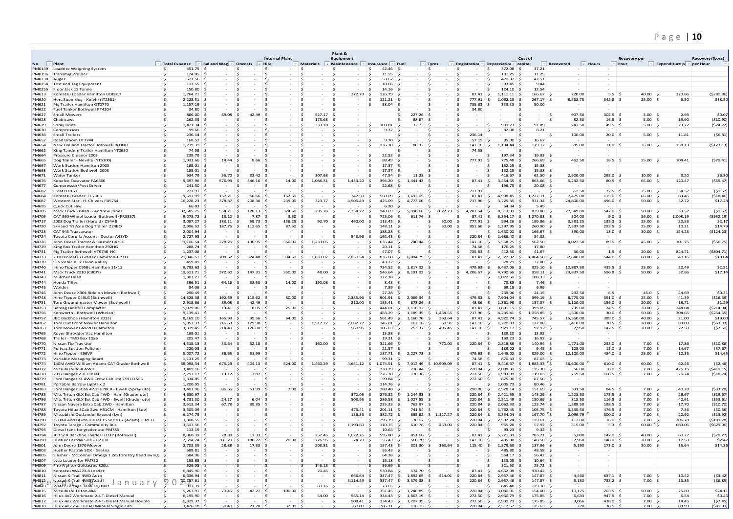# P a g e | **10**

|                              |                                                                                         |                                 |                                              |                              |                                                |                  | Plant &                            |                                    |                                   |                                             |                                          |                                         |                               |                              |                             |                               |                        |                                           |                      |
|------------------------------|-----------------------------------------------------------------------------------------|---------------------------------|----------------------------------------------|------------------------------|------------------------------------------------|------------------|------------------------------------|------------------------------------|-----------------------------------|---------------------------------------------|------------------------------------------|-----------------------------------------|-------------------------------|------------------------------|-----------------------------|-------------------------------|------------------------|-------------------------------------------|----------------------|
| No.                          | $\blacksquare$ Plant                                                                    | Total Expense                   | Sal and Wag $\overline{\phantom{a}}$ Oncosts |                              | <b>Internal Plant</b><br>Hire                  | <b>Materials</b> | Equipment<br><b>Maintenance</b>    | Insurance                          | Fue                               | $\vert$ = Tyres<br>$\overline{\phantom{a}}$ | Registration $\overline{ }$              | Depreciation                            | Cost of<br>capital            | Recovered                    | $\blacktriangleright$ Hours | $\overline{\phantom{a}}$ Hour | Recovery per           | Expenditure $p_i$ $\overline{p}$ per Hour | Recovery/(Loss)      |
| PM0149                       | Loadrite Weighing System                                                                | 451.75<br>s.                    |                                              | s.                           | -Ŝ                                             | Ś                | -S                                 | 42.46<br>-S                        |                                   | $\sim$                                      | - Ś                                      | 372.08<br>s.                            | 37.21<br>- Ś                  |                              |                             |                               |                        |                                           |                      |
| PM0196                       | <b>Transmig Welder</b>                                                                  | 124.05                          |                                              | -S                           |                                                |                  |                                    | 11.55<br>Ś                         |                                   |                                             |                                          | 101.25                                  | 11.25                         |                              |                             |                               |                        |                                           |                      |
| PM0238<br>PM0254             | Auge<br><b>Test and Tag Equipment</b>                                                   | 571.56<br>113.55                |                                              |                              |                                                |                  |                                    | 53.67<br>10.66                     |                                   |                                             |                                          | 470.37<br>93.45                         | 47.51<br>9.44                 |                              |                             |                               |                        |                                           |                      |
| PM0255                       | Floor Jack 15 Tonne                                                                     | 150.80                          | -S                                           |                              |                                                |                  | ∣ \$                               | 14.16<br>S.                        |                                   |                                             |                                          | 124.10                                  | 12.54                         |                              |                             |                               |                        |                                           |                      |
| PM613                        | Komatsu Loader Hamilton BO8817                                                          | - Ś<br>$1,764.71$ \$            |                                              | .s                           |                                                |                  | ∣ \$<br>272.73                     | ∣ Ś<br>126.79                      |                                   |                                             | 87.41                                    | ∣ \$<br>1,111.11                        | 166.67                        | 220.00                       |                             | 5.5 <sub>5</sub>              | 40.00 <sup>8</sup>     | 320.86                                    | (\$280.86            |
| <b>PM620</b><br>PM621        | Herc Superdog - Kelvin (IT2581)<br>Pig Trailer Hamilton OT0770                          | $2,228.51$ \$<br>$1.157.19$ \$  |                                              |                              |                                                |                  | -S                                 | 121.21<br>s<br>38.04               |                                   |                                             | 777.91<br>735.83                         | 1.062.23<br>- S                         | 267.17<br>50.00               | 8,568.75                     |                             | 342.8<br>- S                  | 25.00                  | 6.50                                      | \$18.50              |
| PM622                        | Fuel Tanker Bothwell PT4204                                                             | 34.80                           | ∣ S                                          |                              |                                                |                  |                                    | s                                  |                                   |                                             | 34.80                                    | 333.33                                  |                               |                              | $\sim$                      |                               |                        |                                           |                      |
| PM627                        | <b>Small Mowers</b>                                                                     | 886.00 \$                       | 89.08                                        | 42.49                        |                                                | 527.17           |                                    |                                    | 227.26                            |                                             |                                          |                                         |                               | .s                           | 907.50                      | $302.5$ \$                    | $3.00$ \$              | 2.93                                      | \$0.0                |
| PM628                        | Chainsaws                                                                               | $262.35$ \$                     |                                              |                              |                                                | 173.68           |                                    |                                    | 88.67                             |                                             |                                          |                                         |                               |                              | 82.50                       | $16.5$ \$                     | 5.00                   | 15.90<br>∣ \$                             | ( \$10.90            |
| PM629<br>PM630               | Spray Units<br>Compressors                                                              | 1,471.34<br>99.66               |                                              |                              |                                                | 333.18           |                                    | \$<br>103.81<br>9.37<br>\$         | 32.73                             |                                             |                                          | 909.73<br>82.08<br>\$                   | 91.89<br>8.21                 |                              | 247.50                      | 49.5<br>-\$                   | 5.00                   | 29.72<br>-\$                              | (524.72              |
| PM636                        | Small Trailers                                                                          | 236.14                          |                                              |                              |                                                |                  |                                    |                                    |                                   |                                             | 236.14                                   |                                         |                               |                              | 100.00                      | $20.0$ \$                     | $5.00$ \$              | 11.81                                     | (56.81)              |
| <b>PM652</b>                 | Road Broom UT7744                                                                       | 168.52                          |                                              |                              |                                                |                  |                                    | \$<br>9.70                         |                                   |                                             | 57.15                                    | 85.00<br>- Ś                            | 16.67<br>-S                   |                              |                             |                               |                        |                                           |                      |
| <b>PM654</b>                 | New Holland Tractor Bothwell B08NO                                                      | 1,739.39                        |                                              | .s                           |                                                |                  |                                    | Ś<br>136.30                        | 88.32                             |                                             | 141.16                                   | 1,194.44<br>-S                          | 179.17                        | 385.00                       |                             | $11.0$ \$                     | 35.00                  | 158.13                                    | ( \$123.13           |
| <b>PM662</b><br>PM664        | King Tandem Trailer Hamilton YT0630<br>Pressure Cleaner 2003                            | $74.58$ \$<br>239.79 \$         |                                              | -S<br>.s                     |                                                |                  |                                    | 22.52<br>Ś                         |                                   |                                             | 74.58                                    | 197.34                                  | 19.93<br>-S                   |                              |                             |                               |                        |                                           |                      |
| PM665                        | Dog Trailer - Neville (YT5100)                                                          | 1,931.66                        | 14.44<br>- S                                 | 8.66                         |                                                |                  |                                    | 88.49<br>Ś                         |                                   |                                             | 777.91                                   | 775.48                                  | 266.69<br>-S                  |                              | 462.50                      | $18.5$ \$                     | $25.00$ \$             | 104.41                                    | (579.41              |
| PM667                        | Work Station Hamilton 2003                                                              | 185.01                          | - s                                          |                              |                                                |                  |                                    | Ś<br>17.37                         |                                   |                                             |                                          | 152.25                                  | 15.38                         |                              | $\sim$                      |                               |                        |                                           |                      |
| PM668<br>PM671               | Work Station Bothwell 2003<br><b>Water Tanker</b>                                       | 185.01<br>934.79 \$             | 55.70                                        | 33.42                        |                                                | 307.68           |                                    | 17.37<br>47.54                     | 11.28                             |                                             |                                          | 152.25<br>416.67                        | 15.38<br>62.50                | 2,920.00                     |                             | $292.0$ \$                    | 10.00                  | 3.20                                      | \$6.8                |
| PM676                        | Kobelco Excavator FA6566                                                                | 9,697.96                        | 576.93<br>-Ś                                 | 346.16                       | 14.00                                          | 1,086.31         | 1,433.20                           | 394.20<br>-\$                      | 1,441.43                          |                                             | 87.41                                    | 5<br>3,454.65                           | 863.66                        | 5,232.50                     |                             | 80.5                          | 65.00                  | 120.47                                    | $($ \$55.47          |
| PM677                        | Compressor/Post Driver                                                                  | 241.50                          | -S                                           |                              | $\sim$                                         |                  |                                    | 22.68<br>s                         |                                   |                                             |                                          | 198.75                                  | 20.08<br>-S                   |                              |                             |                               |                        |                                           |                      |
| PM682                        | Float IT0169                                                                            | 777.91                          | ∣ S                                          |                              |                                                |                  |                                    |                                    |                                   |                                             | 777.91                                   |                                         |                               | 562.50                       |                             | $22.5$ \$                     | $25.00$ \$             | 34.57                                     | (59.57)              |
| PM684<br>PM687               | Komatsu Grader FC7003<br>Western Star - H. Chivers FB5754                               | $9,597.99$ \$<br>$16,228.23$ \$ | 157.21<br>378.87                             | 60.66<br>∣\$<br>208.30<br>-S | 162.50<br>-S<br>239.00                         | 323.77           | 742.50<br>4,505.49<br>∣\$          | 560.09<br>∣ S<br>425.09<br>-S      | 1.692.05<br>ıs.<br>4.773.06<br>.s | -S                                          | 87.41<br>-S<br>717.96<br>S.              | ∣ \$<br>$4.908.45$ \$<br>3,725.35<br>S. | 1.227.11<br>931.34<br>-S      | 7,475.00<br>∣\$<br>24,800.00 |                             | $115.0$ \$<br>$496.0$ \$      | 65.00<br>50.00         | 83.46<br>-S<br>32.72<br>∣ Ś               | ( \$18.46<br>\$17.2  |
| PM695                        | Quick Cut Saw                                                                           | 66.03                           | ∣\$                                          |                              |                                                |                  |                                    | 6.20                               |                                   |                                             |                                          | 54.34                                   | 5.49                          |                              |                             |                               |                        |                                           |                      |
| PM705                        | Mack Truck FP4026 - Andrew Jones                                                        | 32,585.75 \$                    | 554.21                                       | 128.13<br>-S                 | 374.50                                         | 295.26           | 7,254.22                           | ∣ Ś<br>948.69                      | 5.996.68<br>-S                    | 3.672.73<br>∣ \$                            | 4.207.54<br>- Ś                          | Ś<br>8.313.99                           | 839.80                        | 27,349.00                    |                             | 547.0 \$                      | 50.00                  | 59.57<br>- S                              | (59.57)              |
| PM709                        | CAT 950 Wheel Loader Bothwell (FR3357)                                                  | 9,073.72                        | 13.12                                        | 7.87                         | 3.50                                           |                  |                                    | 725.06                             | 611.76                            |                                             | 87.41                                    | 6.354.17                                | 1.270.83                      | 504.00                       |                             | 9.0                           | 56.00                  | 1,008.19                                  | ( \$952.19           |
| PM717<br><b>PM720</b>        | 2008 Dog Trailer (Harold) Z54AB<br>S/Hand Tri Axle Dog Trailer Z24BO                    | 3,087.27<br>2,996.52            | 183.11<br>187.75<br>.s                       | 59.73<br>112.65              | 156.25<br>87.50                                | 92.70            | 460.00                             | \$<br>113.45<br>148.11             |                                   | 50.00<br>50.00                              | 777.91<br>851.66                         | 994.26<br>1,297.95<br>-\$               | 199.86<br>260.90              | 3,381.25<br>7,337.50         |                             | 135.3<br>293.5                | 25.00<br>25.00         | 22.83<br>10.21                            | \$2.1<br>\$14.7      |
| <b>PM723</b>                 | CAT 943 Traxcavator                                                                     | 2.004.94                        | -S                                           |                              |                                                |                  | -S                                 | 188.28<br>S.                       |                                   | -S                                          |                                          | 1.650.00<br>s                           | 166.67                        | 390.00                       |                             | 13.0<br>- S                   | 30.00                  | 154.23<br>- S                             | ( \$124.23           |
| <b>PM724</b>                 | Toyota Corolla Ascent - Doctor A48YD                                                    | 2,727.95                        | -S                                           | .s                           |                                                |                  | 543.96                             | 192.43<br>- Ś                      |                                   | -S                                          | 220.84                                   | - 5<br>1,686.40                         | 84.32                         |                              |                             |                               |                        |                                           |                      |
| <b>PM726</b><br><b>PM729</b> | John Deere Tractor & Slasher B47EG<br>King Box Trailer Hamilton Z92HG                   | 9.106.54<br>288.74 \$           | 228.25<br>-S                                 | 136.95<br>-S<br>.s           | 360.00<br>∣ S                                  | 1.233.05         |                                    | 635.44<br>s<br>20.11               | 240.44                            |                                             | 141.16<br>74.58                          | 5.568.75<br>- S<br>176.25               | 562.50<br>17.80               | 4,027.50                     |                             | $89.5$ \$                     | $45.00$ \$             | 101.75                                    | ( \$56.75]           |
| PM731                        | Pig Trailer Bothwell VT9746 HC                                                          | 1,237.06                        | -S                                           | - 5                          |                                                |                  |                                    | s<br>47.07                         |                                   |                                             | 735.83                                   | 412.50                                  | 41.67                         |                              | 30.00                       | $1.5$ \$                      | $20.00$ \$             | 824.71                                    | (\$804.71            |
| PM733                        | 2010 Komatsu Grader Hamilton-B73T.                                                      | 21,846.51                       | 708.62<br>∣ \$                               | 324.48<br>s.                 | 334.50<br>۱s<br>- S                            | 1,833.07         | 2,850.54                           | ∣\$<br>835.60                      | 6.084.79<br>s                     | $\sim$<br>-S                                | 87.41                                    | \$<br>7,322.92                          | 1,464.58<br>-S                | 32,640.00                    |                             | $544.0$ \$                    | 60.00                  | 40.16<br>5                                | \$19.8               |
| PM739                        | SES Vehicle Ex Huon Valley                                                              | 459.89                          | -S                                           | -S                           |                                                |                  |                                    | 43.22<br>Ś                         |                                   |                                             |                                          | 378.79                                  | 37.88                         |                              |                             |                               |                        |                                           |                      |
| PM740<br>PM741               | Hino Tipper C95BL Hamilton 11/11<br>Mack Truck 2010 (C90JY)                             | 9,793.63<br>19,611.71           | 372.60<br>-Ś                                 | 147.31<br>-S                 | 350.00                                         | 48.00            |                                    | 734.52<br>Ś<br>546.64<br>Ś         | 1,817.32<br>8.191.92              |                                             | 479.63<br>4.206.57                       | -S<br>6,437.06<br>4,790.56<br>-S        | 325.10<br>958.11              | 10,887.50<br>29,837.50       |                             | $435.5$ \$<br>596.8           | $25.00$ \$<br>50.00    | 22.49<br>32.86                            | \$2.5<br>\$17.1      |
| <b>PM743</b>                 | Mulcher Head                                                                            | 1,303.21                        |                                              | .s<br><b>1999</b>            |                                                |                  |                                    | 122.38<br>s                        |                                   |                                             |                                          | 1.072.50<br>s                           | 108.33                        |                              |                             |                               |                        |                                           |                      |
| PM744                        | Honda Tiller                                                                            | 396.51 \$                       | 64.16                                        | 38.50                        | 14.00                                          | 190.08           |                                    | 8.43                               |                                   |                                             |                                          | 73.88                                   | 7.46                          |                              |                             |                               |                        |                                           |                      |
| PM745<br>PM746               | Welder<br>John Deere X304 Ride on Mower (Bothwell)                                      | 84.06 \$<br>290.49 \$           |                                              | -S                           | $\sim$                                         |                  |                                    | 7.89<br>27.28<br>S.                |                                   | -S<br>-S                                    | - S                                      | 69.18<br>239.06                         | 6.99<br>24.15                 |                              | 292.50                      | 6.5                           | $45.0$ S               | 44.69                                     | \$0.3                |
| <b>PM748</b>                 | Hino Tipper C43LG (Bothwell)                                                            | 14.528.38 \$                    | 192.69                                       | -S<br>115.62<br>-S           | -S<br>$\sim$<br>80.00                          |                  | S<br>2.385.96                      | 901.91<br>- S                      | 2.069.34<br>.s                    | $\overline{\phantom{a}}$<br>-S              | 479.63                                   | 7.904.04<br>- Ś                         | 399.19                        | 8,775.00                     |                             | $351.0$ \$                    | 25.00                  | 41.39<br>- S                              | ( \$16.39            |
| PM751                        | Toro Groundmaster Mower (Bothwell)                                                      | 2,918.66                        | 89.08<br>∣\$                                 | 42.49<br>-S                  | $\sim$                                         |                  | 210.00                             | 155.41                             | 873.26                            |                                             | 48.86                                    | 1.361.98                                | 137.57                        | 3,120.00                     |                             | 156.0<br>- s                  | 20.00                  | 18.71<br>- Ś                              | \$1.2                |
| PM753                        | <b>Bomag Landfill Compactor</b>                                                         | 5,979.00                        | 13.41                                        | 8.05                         | 25.00                                          |                  |                                    | 444.01                             | 1.116.92                          |                                             | 87.41                                    | 3.891.15                                | 393.05                        | 735.00                       |                             | $24.5$ \$                     | 30.00                  | 244.04                                    | ( \$214.04           |
| <b>PM756</b><br><b>PM757</b> | Kenworth - Bothwell (Whelan)<br>JBC Backhoe (Hamilton 2013)                             | 9,139.41<br>8,169.10            | 165.93                                       | 99.56                        | 64.00                                          |                  |                                    | 483.29<br>561.49                   | 1,189.35<br>1,160.76              | 1,454.55<br>363.64                          | 717.96<br>87.41                          | 4,235.41<br>4,920.74                    | 1,058.85<br>745.57            | 1,500.00<br>15,560.00        |                             | 30.0<br>389.0                 | 50.00<br>40.00         | 304.65<br>21.00                           | ( \$254.65<br>\$19.0 |
| <b>PM762</b>                 | Toro Out Front Mower Hamilton                                                           | 5,853.33                        | 216.63<br>-S                                 | 129.98<br>-S                 | -S                                             | 1,517.27         | 2,082.27<br>-S                     | 145.01<br>S.                       | 162.18                            | 60.91                                       | 141.16                                   | 1.270.83                                | 127.08                        | 1,410.00                     |                             | 70.5<br>- S                   | 20.00                  | 83.03                                     | ( \$63.03            |
| PM763                        | Toro Mower GM7200 Hamilton                                                              | $3,319.45$ \$                   | 214.40                                       | -Ŝ<br>126.00                 | -S                                             |                  | 960.96<br>-S                       | 106.03<br>-S                       | 253.37                            | s.<br>495.45                                | 141.16<br>-S                             | 929.17<br>- S                           | 92.92                         |                              | 2,950                       | $147.5$ \$                    | 20.00                  | 22.50<br>- S                              | ( \$2.50             |
| <b>PM765</b><br><b>PM768</b> | Rover Shredder Vac Hamilton<br>Trailer - TMD Box 10x6                                   | 169.01<br>$205.47$ \$           |                                              | .S<br>-S                     |                                                |                  |                                    | 15.88<br>S.<br>19.31               |                                   | -S                                          | - S                                      | 139.20<br>169.23                        | 13.92<br>16.92                |                              |                             |                               |                        |                                           |                      |
| <b>PM770</b>                 | Nissan Tip Tray Ute                                                                     | $4.518.13$ \$                   | 53.64                                        | 32.18<br>S.                  | -S                                             | 160.00           |                                    | 321.66                             |                                   | 770.00                                      | 220.84<br>-S                             | - Ś<br>2.818.88                         | 140.94                        | 1,771.00                     |                             | $253.0$ \$                    | $7.00$ \$              | 17.86                                     | (510.86)             |
| PM771                        | Polivac Suction Polisher                                                                | $220.03$ \$                     |                                              | -S                           |                                                |                  |                                    | 21.57                              |                                   |                                             |                                          | 189.02                                  | 9.45                          |                              | 105.00                      | $15.0$ \$                     | 7.00                   | 14.67<br>- Ś                              | ( \$7.67             |
| PM772                        | Hino Tipper - E96VP                                                                     | $5,007.72$ \$                   | 86.65                                        | 51.99<br>-S                  |                                                |                  |                                    | 187.71<br>Ś                        | 2.227.73                          |                                             | 479.63                                   | - Ś<br>1.645.02                         | 329.00                        | 12,100.00                    |                             | 484.0 \$                      | 25.00                  | 10.35<br>- Ś                              | \$14.6               |
| PM773<br>PM774               | Variable Mesaging Board<br>140M AWD William Adams CAT Grader Bothwell                   | $1,131.25$ \$<br>38,098.34      | 675.29<br>-Ś                                 | 404.13<br>-S                 | 524.00<br>Ŝ                                    | 1,460.29         | 4,651.12                           | 99.31<br>1,074.51<br>- Ś           | 7,012.49<br>Ś                     | \$10,909.09                                 | 74.58<br>87.41                           | 870.33<br>9,416.67<br>- \$              | 87.03<br>1,883.33<br>- Ś      | 36,600.00<br>'S              |                             | $610.0$ \$                    | 60.00 \$               | 62.46                                     | ( \$2.46             |
| <b>PM777</b>                 | Mitsubishi ASX AWD                                                                      | 3,409.16                        |                                              |                              |                                                |                  |                                    | 238.29                             | 736.44                            |                                             | 220.84                                   | 2.088.30<br>- S                         | 125.30                        |                              | 56.00                       | 8.0<br>- S                    | 7.00                   | 426.15<br>- S                             | (5419.15             |
| <b>PM778</b>                 | 2017 Ranger 2.2l Diesel                                                                 | 2,793.17                        | 13.12                                        | 7.87<br>-S                   |                                                |                  |                                    | 226.38<br>s                        | 170.38                            |                                             | 272.50                                   | - Ś<br>1.983.89                         | 119.03                        |                              | 759.50                      | 108.5<br>- S                  | 7.00                   | 25.74<br>- S                              | ( \$18.74            |
| <b>PM779</b><br><b>PM781</b> | Ford Ranger XL 4WD Crew Cab Ute C91LO SES                                               | 1,334.85<br>$1,200.95$ \$       | $\sim$                                       |                              |                                                |                  |                                    | 99.84<br>114.76                    |                                   |                                             | 272.50                                   | 875.00<br>1.005.73                      | 87.50<br>80.46                |                              |                             |                               |                        |                                           |                      |
| <b>PM783</b>                 | Portable Barrow Lights x 2<br>Ford Ranger SCab 4WD H78CR - Bwell (Spray ute)            | 3.403.96                        | 86.65<br>∣ S                                 | 51.99<br>-S                  | 7.00                                           |                  | $\sim$                             | s<br>288.48                        |                                   | $\sim$                                      | - S<br>290.00                            | -S<br>2.528.14<br>- S                   | 151.69<br>∣ S                 | - 5<br>.S                    | 591.50                      | $84.5$ \$                     | $7.00$ \$              | 40.28                                     | (533.28              |
| PM785                        | Mits Triton GLX Ext Cab 4WD - Ham (Grader ute)                                          | 4,680.97                        | ∣\$                                          |                              |                                                |                  | 372.05<br>-S                       | 276.32<br>- Ś                      | 1.244.93<br>- Ś                   |                                             | 220.84                                   | 2,421.55<br>Ś                           | 145.29<br>ı s                 | 1,228.50                     |                             | 175.5<br>S                    | 7.00                   | 26.67<br>- Ś                              | ( \$19.67            |
| PM786                        | Mits Triton GLX Ext Cab 4WD - Bwell (Grader ute)                                        | s.<br>4,731.30                  | 24.17<br>- S                                 | 6.04<br>. Ś                  |                                                |                  | 503.95<br>- Ś                      | 286.58<br>.s                       | 1.027.55<br>-S                    | $\sim$                                      | 220.84                                   | 2.511.49<br>Ś                           | 150.69<br>- S                 |                              | 815.50                      | $116.5$ \$                    | 7.00                   | 40.61<br>- Ś                              | ( \$33.61            |
| <b>PM787</b><br><b>PM788</b> | Nissan Navara Extra Cab 2WD - Hamiltor<br>Toyota Hilux SCab 2wd H51CM - Hamilton (Sue)  | 3,513.34<br>3,505.09            | 67.78                                        | 39.35                        |                                                |                  | 473.41                             | 235.33<br>201.11<br>.s             | 763.97<br>741.54                  |                                             | 220.84<br>220.84                         | 2,062.33<br>1,762.45                    | 123.74<br>105.75              | 1,389.50<br>3,335.50         |                             | 198.5<br>476.5                | 7.00<br>7.00           | 17.70<br>7.36                             | ( \$10.70<br>(50.36) |
| <b>PM789</b>                 | Mitsubishi Outlander Exceed (Lyn)                                                       | 6,274.75                        |                                              |                              |                                                |                  | 136.36                             | 382.72                             | 885.82                            | 1,127.27                                    | 220.84                                   | 3,354.04                                | 167.70                        | 2,099.79                     |                             | 300.0                         | 7.00                   | 20.92                                     | ( \$13.92            |
| <b>PM790</b>                 | X-Trail 4WD Auto Diesel TS Series 2 (Adam) H92CU                                        | 3,308.55                        |                                              |                              |                                                |                  |                                    | 295.79<br>S.                       | 70.07                             |                                             | 220.84                                   | 2,592.24<br>-S                          | 129.61                        | 112.00                       |                             | 16.0                          | 7.00                   | 206.78                                    | (\$199.78            |
| <b>PM792</b>                 | Toyota Tarago - Community Bus                                                           | 3,617.56                        |                                              |                              |                                                |                  | 1,193.60                           | ∣\$<br>110.15                      | 610.78                            | 459.00<br>-S                                | 220.84<br>-S                             | 965.28<br>-S                            | 57.92                         |                              | 315.00                      | 5.3<br>- S                    | 60.00                  | ۰,<br>689.06                              | ( \$629.06]          |
| <b>PM793</b><br><b>PM794</b> | Diesel tank for grader ute PM786<br>ICB 5CX Backhoe Loader H11IP (Bothwell              | $113.19$ \$<br>8,860.39 \$      | 28.88                                        | -S<br>17.33<br>s.            | -S<br>- S<br>- S                               | 252.45           | $1,022.26$ \$<br>∣\$               | 10.64<br>-S<br>- S<br>595.80       | 851.66<br>ıs.                     | -S<br>$\sim$<br>∣\$.                        | - 5<br>$87.41 \;$ \$<br>-S               | 93.23<br>-S<br>5,221.39                 | 9.32<br>- 5<br>783.21<br>∣ S∶ | - S<br>-S                    | 5,880                       | $147.0$ \$                    | $40.00$ \$             | 60.27                                     | ( \$20.27            |
| <b>PM798</b>                 | Hustler Fastrak SDX - H27UK                                                             | $2.594.74$ \$                   | 301.20                                       | 180.72                       | 20.00                                          | 726.95           | 74.70                              | 55.43                              | 560.20                            | $\overline{\phantom{a}}$                    | 141.16                                   | 485.80                                  | 48.58                         |                              | 2.960                       | 148.0                         | 20.00                  | 17.53                                     | \$2.4                |
| PM801                        | John Deere 1570 Mower                                                                   | 2,705.39<br>Ś                   | 28.88<br>-S                                  | 17.33<br>-Ŝ                  | ی ا                                            | 203.81           |                                    | \$.<br>157.43                      | 301.30                            | 363.64<br>∣ \$                              | 115.40                                   | \$<br>1,379.63                          | 137.96                        |                              | 5,190                       | $173.0$ \$                    | $30.00$ \$             | 15.64                                     | \$14.3               |
| PM803<br><b>PM805</b>        | Hustler Fastrak SDX - Gretna<br>Slasher - McConnel Omega 1.2m forestry head swing       | 589.81<br>684.96                |                                              | -\$<br>-\$                   | Ŝ<br>$\sim$<br>$\overline{\phantom{a}}$<br>-\$ |                  | $\sim$<br>$\overline{\phantom{a}}$ | \$.<br>55.43<br>64.38<br>\$<br>-\$ |                                   | \$<br>\$<br>$\sim$                          |                                          | 485.80<br>-Ŝ<br>564.17                  | 48.58<br>56.42                |                              | $\sim$                      |                               |                        |                                           |                      |
| PM807                        | Lyco Loader for PM752                                                                   | 158.88 \$                       |                                              | -\$<br>$\sim$                | $\vert$ \$<br>-\$<br>$\sim$                    |                  | - \$<br>$\sim$                     | - \$<br>$15.18$ \$                 | $\sim$                            | 5<br>$\sim$                                 |                                          | 133.05                                  | 10.64                         | -\$                          | $\sim$                      |                               |                        |                                           |                      |
| <b>PM809</b>                 | Fire Fighter Goldacres 800                                                              | $529.05$ \$                     |                                              |                              |                                                | $145.15$ \$      |                                    | 36.69                              |                                   |                                             |                                          | 321.50                                  | $25.72 \quad$ \$              |                              | $\sim$                      | $\sim$                        |                        |                                           |                      |
| <b>PM810</b>                 | Komatsu WA270-8 Loader                                                                  | $6,845.90$ \$                   | $\sim$                                       | -Ŝ<br>$\sim$                 | -Ŝ<br>۱Ś<br>$\sim$                             | 70.45            | ∣\$                                | $530.84$ \$<br>.s                  | 574.70 \$                         |                                             | $87.41$ \$<br>- S                        | 4,652.08                                | $930.42$ \$<br>-S             |                              |                             |                               |                        |                                           |                      |
| PM811                        | Nissan X-Trail 4WD Auto<br>PM842 ∩ Nissan X-Trail 4WDAuto                               | $6,636.94$ \$<br>$70,137.61$ \$ | $\sim$                                       | -S<br>$\sim$<br>-S           | ۱s<br>-S<br>$\sim$<br>-S<br>ı s                | $\sim$           | 666.64<br>S<br>3,114.59            | 337.47 S<br>∣S.<br>337.47 S<br>∣ Ś | 1.892.65<br>3.379.38              | 414.01<br>∣\$.<br>∣\$<br>$\sim$             | 220.84<br>∣\$<br>220.84                  | 2.957.46<br>- S<br>2.957.46 \$<br>∣ S∶  | $147.87$ \$<br>$147.87$ \$    |                              | 4.460<br>5,133              | $637.1$ \$<br>$733.2$ \$      | $7.00$ \$<br>$7.00$ \$ | 10.42<br>13.85                            | ( \$3.42<br>(56.85)  |
| PM833                        | <u>anuarv</u><br>Water Cartage Tank 10,000lt                                            | 2<br>917.39 \$                  | $\sim$                                       | $\sim$<br>S.                 | $\sim$                                         | $69.16$ \$       |                                    | 73.65<br>- Ś<br>- S                |                                   | ∣ \$<br>$\sim$                              | -S                                       | 645.48                                  | $129.10$ \$<br>-S             |                              |                             |                               |                        |                                           |                      |
| PM815                        | Mitsubishi Triton 4X4                                                                   | $5,267.91$ \$                   | 70.45                                        | 42.27<br>s                   | 100.00<br>∣ Ś<br>- 5                           |                  | S<br>$\sim$                        | $351.45$ \$<br>-Ŝ                  | 1,248.89                          | ∣ \$<br>$\sim$                              | 220.84<br>- Ś                            | $3,080.01$ \$<br>- Ś                    | 154.00 \$                     |                              | 10,175                      | $203.5$ \$                    | $50.00$ \$             | 25.89                                     | \$24.1               |
| PM816<br><b>PM817</b>        | Hilux 4x2 Workmate 2.4 T-Diesel Manual<br>Hilux 4x2 Workmate 2.4 T-Diesel Manual Double | $6,195.90$ \$<br>$6,329.37$ \$  |                                              | -S<br>-\$                    | -S<br>Ŝ                                        | $54.00$ \$       | $565.14$ \$<br>- \$<br>$908.41$ \$ | $334.43$ \$<br>$334.43 \quad$ \$   | 1,863.19<br>1,707.39              | ∣ \$<br>$\sim$<br>ی ا                       | $272.50$ \$<br>- Ś<br>$272.50$ \$<br>-\$ | $2,930.79$ \$<br>$2,930.79$ \$          | $175.85$ \$<br>175.85 \$      |                              | 6,633<br>3,066              | $947.5$ \$<br>438.0 \$        | 7.00<br>7.00           | 6.54<br>∣ \$<br>14.45<br>- S              | \$0.4                |
| <b>PM818</b>                 | Hilux 4x2 2.4L Diesel Manual Single Cab                                                 | $3,426.18$ \$                   | 50.40                                        | 21.78<br>-Ŝ                  | $32.00$ \$                                     |                  | $60.00$ \$                         | $286.71$ \$                        | $116.15$ \$                       |                                             | $220.84$ \$                              | $2,512.67$ \$                           | $125.63$ \$                   |                              | 270                         | $38.5$ \$                     | 7.00                   | 88.99                                     | (57.45)<br>( \$81.99 |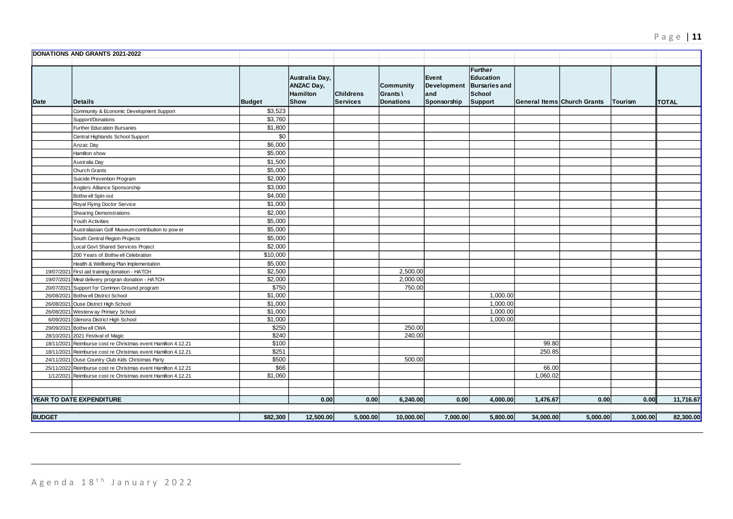|               | DONATIONS AND GRANTS 2021-2022                                |               |                                                                |                                     |                                                  |                                            |                                                                                 |           |                             |          |              |
|---------------|---------------------------------------------------------------|---------------|----------------------------------------------------------------|-------------------------------------|--------------------------------------------------|--------------------------------------------|---------------------------------------------------------------------------------|-----------|-----------------------------|----------|--------------|
| Date          | Details                                                       | <b>Budget</b> | Australia Day,<br><b>ANZAC Day,</b><br><b>Hamilton</b><br>Show | <b>Childrens</b><br><b>Services</b> | <b>Community</b><br>Grants \<br><b>Donations</b> | Event<br>Development<br>and<br>Sponsorship | <b>Further</b><br><b>Education</b><br><b>Bursaries and</b><br>School<br>Support |           | General Items Church Grants | Tourism  | <b>TOTAL</b> |
|               | Community & Economic Development Support                      | \$3,523       |                                                                |                                     |                                                  |                                            |                                                                                 |           |                             |          |              |
|               | Support/Donations                                             | \$3,760       |                                                                |                                     |                                                  |                                            |                                                                                 |           |                             |          |              |
|               | Further Education Bursaries                                   | \$1,800       |                                                                |                                     |                                                  |                                            |                                                                                 |           |                             |          |              |
|               | Central Highlands School Support                              | \$0           |                                                                |                                     |                                                  |                                            |                                                                                 |           |                             |          |              |
|               | Anzac Day                                                     | \$6,000       |                                                                |                                     |                                                  |                                            |                                                                                 |           |                             |          |              |
|               | Hamilton show                                                 | \$5,000       |                                                                |                                     |                                                  |                                            |                                                                                 |           |                             |          |              |
|               | Australia Day                                                 | \$1,500       |                                                                |                                     |                                                  |                                            |                                                                                 |           |                             |          |              |
|               | Church Grants                                                 | \$5,000       |                                                                |                                     |                                                  |                                            |                                                                                 |           |                             |          |              |
|               | Suicide Prevention Program                                    | \$2,000       |                                                                |                                     |                                                  |                                            |                                                                                 |           |                             |          |              |
|               | Anglers Alliance Sponsorship                                  | \$3,000       |                                                                |                                     |                                                  |                                            |                                                                                 |           |                             |          |              |
|               | Bothw ell Spin-out                                            | \$4,000       |                                                                |                                     |                                                  |                                            |                                                                                 |           |                             |          |              |
|               | Royal Flying Doctor Service                                   | \$1,000       |                                                                |                                     |                                                  |                                            |                                                                                 |           |                             |          |              |
|               | <b>Shearing Demonstrations</b>                                | \$2,000       |                                                                |                                     |                                                  |                                            |                                                                                 |           |                             |          |              |
|               | Youth Activities                                              | \$5,000       |                                                                |                                     |                                                  |                                            |                                                                                 |           |                             |          |              |
|               | Australiasian Golf Museum contribution to pow er              | \$5,000       |                                                                |                                     |                                                  |                                            |                                                                                 |           |                             |          |              |
|               | South Central Region Projects                                 | \$5,000       |                                                                |                                     |                                                  |                                            |                                                                                 |           |                             |          |              |
|               | Local Govt Shared Services Project                            | \$2,000       |                                                                |                                     |                                                  |                                            |                                                                                 |           |                             |          |              |
|               | 200 Years of Bothw ell Celebration                            | \$10,000      |                                                                |                                     |                                                  |                                            |                                                                                 |           |                             |          |              |
|               | Health & Wellbeing Plan Implementation                        | \$5,000       |                                                                |                                     |                                                  |                                            |                                                                                 |           |                             |          |              |
|               | 19/07/2021 First aid training donation - HATCH                | \$2,500       |                                                                |                                     | 2,500.00                                         |                                            |                                                                                 |           |                             |          |              |
|               | 19/07/2021 Meal delivery progran donation - HATCH             | \$2,000       |                                                                |                                     | 2,000.00                                         |                                            |                                                                                 |           |                             |          |              |
|               | 20/07/2021 Support for Common Ground program                  | \$750         |                                                                |                                     | 750.00                                           |                                            |                                                                                 |           |                             |          |              |
|               | 26/08/2021 Bothw ell District School                          | \$1,000       |                                                                |                                     |                                                  |                                            | 1,000.00                                                                        |           |                             |          |              |
|               | 26/08/2021 Ouse District High School                          | \$1,000       |                                                                |                                     |                                                  |                                            | 1,000.00                                                                        |           |                             |          |              |
|               | 26/08/2021 Westerw ay Primary School                          | \$1,000       |                                                                |                                     |                                                  |                                            | 1,000.00                                                                        |           |                             |          |              |
|               | 6/09/2021 Glenora District High School                        | \$1,000       |                                                                |                                     |                                                  |                                            | 1,000.00                                                                        |           |                             |          |              |
|               | 29/09/2021 Bothw ell CWA                                      | \$250         |                                                                |                                     | 250.00                                           |                                            |                                                                                 |           |                             |          |              |
|               | 28/10/2021 2021 Festival of Magic                             | \$240         |                                                                |                                     | 240.00                                           |                                            |                                                                                 |           |                             |          |              |
|               | 18/11/2021 Reimburse cost re Christmas event Hamilton 4.12.21 | \$100         |                                                                |                                     |                                                  |                                            |                                                                                 | 99.80     |                             |          |              |
|               | 18/11/2021 Reimburse cost re Christmas event Hamilton 4.12.21 | \$251         |                                                                |                                     |                                                  |                                            |                                                                                 | 250.85    |                             |          |              |
|               | 24/11/2021 Ouse Country Club Kids Christmas Party             | \$500         |                                                                |                                     | 500.00                                           |                                            |                                                                                 |           |                             |          |              |
|               | 25/11/2022 Reimburse cost re Christmas event Hamilton 4.12.21 | \$66          |                                                                |                                     |                                                  |                                            |                                                                                 | 66.00     |                             |          |              |
|               | 1/12/2021 Reimburse cost re Christmas event Hamilton 4.12.21  | \$1,060       |                                                                |                                     |                                                  |                                            |                                                                                 | 1,060.02  |                             |          |              |
|               |                                                               |               |                                                                |                                     |                                                  |                                            |                                                                                 |           |                             |          |              |
|               | YEAR TO DATE EXPENDITURE                                      |               | 0.00                                                           | 0.00                                | 6,240.00                                         | 0.00                                       | 4,000.00                                                                        | 1,476.67  | 0.00                        | 0.00     | 11,716.67    |
|               |                                                               |               |                                                                |                                     |                                                  |                                            |                                                                                 |           |                             |          |              |
| <b>BUDGET</b> |                                                               | \$82,300      | 12,500.00                                                      | 5,000.00                            | 10,000.00                                        | 7,000.00                                   | 5,800.00                                                                        | 34,000.00 | 5,000.00                    | 3,000.00 | 82,300.00    |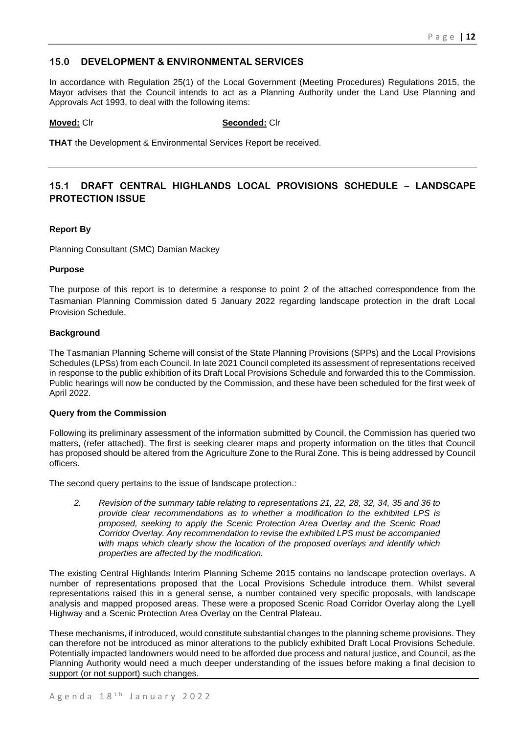# **15.0 DEVELOPMENT & ENVIRONMENTAL SERVICES**

In accordance with Regulation 25(1) of the Local Government (Meeting Procedures) Regulations 2015, the Mayor advises that the Council intends to act as a Planning Authority under the Land Use Planning and Approvals Act 1993, to deal with the following items:

## **Moved:** Clr **Seconded:** Clr

**THAT** the Development & Environmental Services Report be received.

# **15.1 DRAFT CENTRAL HIGHLANDS LOCAL PROVISIONS SCHEDULE – LANDSCAPE PROTECTION ISSUE**

## **Report By**

Planning Consultant (SMC) Damian Mackey

## **Purpose**

The purpose of this report is to determine a response to point 2 of the attached correspondence from the Tasmanian Planning Commission dated 5 January 2022 regarding landscape protection in the draft Local Provision Schedule.

## **Background**

The Tasmanian Planning Scheme will consist of the State Planning Provisions (SPPs) and the Local Provisions Schedules (LPSs) from each Council. In late 2021 Council completed its assessment of representations received in response to the public exhibition of its Draft Local Provisions Schedule and forwarded this to the Commission. Public hearings will now be conducted by the Commission, and these have been scheduled for the first week of April 2022.

## **Query from the Commission**

Following its preliminary assessment of the information submitted by Council, the Commission has queried two matters, (refer attached). The first is seeking clearer maps and property information on the titles that Council has proposed should be altered from the Agriculture Zone to the Rural Zone. This is being addressed by Council officers.

The second query pertains to the issue of landscape protection.:

*2. Revision of the summary table relating to representations 21, 22, 28, 32, 34, 35 and 36 to provide clear recommendations as to whether a modification to the exhibited LPS is proposed, seeking to apply the Scenic Protection Area Overlay and the Scenic Road Corridor Overlay. Any recommendation to revise the exhibited LPS must be accompanied with maps which clearly show the location of the proposed overlays and identify which properties are affected by the modification.*

The existing Central Highlands Interim Planning Scheme 2015 contains no landscape protection overlays. A number of representations proposed that the Local Provisions Schedule introduce them. Whilst several representations raised this in a general sense, a number contained very specific proposals, with landscape analysis and mapped proposed areas. These were a proposed Scenic Road Corridor Overlay along the Lyell Highway and a Scenic Protection Area Overlay on the Central Plateau.

These mechanisms, if introduced, would constitute substantial changes to the planning scheme provisions. They can therefore not be introduced as minor alterations to the publicly exhibited Draft Local Provisions Schedule. Potentially impacted landowners would need to be afforded due process and natural justice, and Council, as the Planning Authority would need a much deeper understanding of the issues before making a final decision to support (or not support) such changes.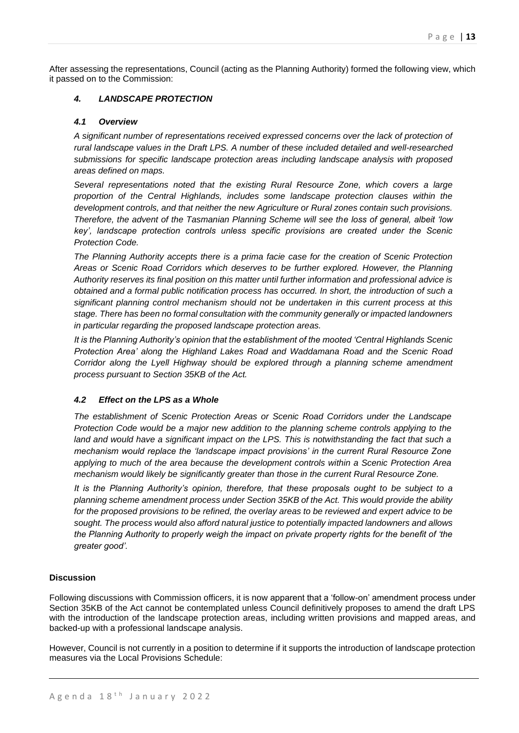After assessing the representations, Council (acting as the Planning Authority) formed the following view, which it passed on to the Commission:

# *4. LANDSCAPE PROTECTION*

## *4.1 Overview*

*A significant number of representations received expressed concerns over the lack of protection of rural landscape values in the Draft LPS. A number of these included detailed and well-researched submissions for specific landscape protection areas including landscape analysis with proposed areas defined on maps.*

*Several representations noted that the existing Rural Resource Zone, which covers a large proportion of the Central Highlands, includes some landscape protection clauses within the development controls, and that neither the new Agriculture or Rural zones contain such provisions. Therefore, the advent of the Tasmanian Planning Scheme will see the loss of general, albeit 'low key', landscape protection controls unless specific provisions are created under the Scenic Protection Code.*

*The Planning Authority accepts there is a prima facie case for the creation of Scenic Protection Areas or Scenic Road Corridors which deserves to be further explored. However, the Planning Authority reserves its final position on this matter until further information and professional advice is obtained and a formal public notification process has occurred. In short, the introduction of such a significant planning control mechanism should not be undertaken in this current process at this stage. There has been no formal consultation with the community generally or impacted landowners in particular regarding the proposed landscape protection areas.*

*It is the Planning Authority's opinion that the establishment of the mooted 'Central Highlands Scenic Protection Area' along the Highland Lakes Road and Waddamana Road and the Scenic Road Corridor along the Lyell Highway should be explored through a planning scheme amendment process pursuant to Section 35KB of the Act.*

## *4.2 Effect on the LPS as a Whole*

*The establishment of Scenic Protection Areas or Scenic Road Corridors under the Landscape Protection Code would be a major new addition to the planning scheme controls applying to the*  land and would have a significant impact on the LPS. This is notwithstanding the fact that such a *mechanism would replace the 'landscape impact provisions' in the current Rural Resource Zone applying to much of the area because the development controls within a Scenic Protection Area mechanism would likely be significantly greater than those in the current Rural Resource Zone.*

*It is the Planning Authority's opinion, therefore, that these proposals ought to be subject to a planning scheme amendment process under Section 35KB of the Act. This would provide the ability for the proposed provisions to be refined, the overlay areas to be reviewed and expert advice to be sought. The process would also afford natural justice to potentially impacted landowners and allows the Planning Authority to properly weigh the impact on private property rights for the benefit of 'the greater good'.*

## **Discussion**

Following discussions with Commission officers, it is now apparent that a 'follow-on' amendment process under Section 35KB of the Act cannot be contemplated unless Council definitively proposes to amend the draft LPS with the introduction of the landscape protection areas, including written provisions and mapped areas, and backed-up with a professional landscape analysis.

However, Council is not currently in a position to determine if it supports the introduction of landscape protection measures via the Local Provisions Schedule: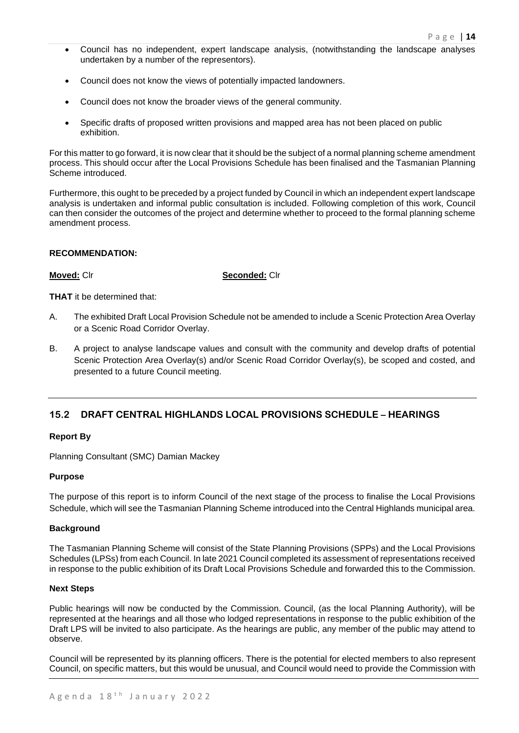- Council has no independent, expert landscape analysis, (notwithstanding the landscape analyses undertaken by a number of the representors).
- Council does not know the views of potentially impacted landowners.
- Council does not know the broader views of the general community.
- Specific drafts of proposed written provisions and mapped area has not been placed on public exhibition.

For this matter to go forward, it is now clear that it should be the subject of a normal planning scheme amendment process. This should occur after the Local Provisions Schedule has been finalised and the Tasmanian Planning Scheme introduced.

Furthermore, this ought to be preceded by a project funded by Council in which an independent expert landscape analysis is undertaken and informal public consultation is included. Following completion of this work, Council can then consider the outcomes of the project and determine whether to proceed to the formal planning scheme amendment process.

## **RECOMMENDATION:**

**Moved:** Clr **Seconded:** Clr

**THAT** it be determined that:

- A. The exhibited Draft Local Provision Schedule not be amended to include a Scenic Protection Area Overlay or a Scenic Road Corridor Overlay.
- B. A project to analyse landscape values and consult with the community and develop drafts of potential Scenic Protection Area Overlay(s) and/or Scenic Road Corridor Overlay(s), be scoped and costed, and presented to a future Council meeting.

# **15.2 DRAFT CENTRAL HIGHLANDS LOCAL PROVISIONS SCHEDULE – HEARINGS**

## **Report By**

Planning Consultant (SMC) Damian Mackey

## **Purpose**

The purpose of this report is to inform Council of the next stage of the process to finalise the Local Provisions Schedule, which will see the Tasmanian Planning Scheme introduced into the Central Highlands municipal area.

## **Background**

The Tasmanian Planning Scheme will consist of the State Planning Provisions (SPPs) and the Local Provisions Schedules (LPSs) from each Council. In late 2021 Council completed its assessment of representations received in response to the public exhibition of its Draft Local Provisions Schedule and forwarded this to the Commission.

## **Next Steps**

Public hearings will now be conducted by the Commission. Council, (as the local Planning Authority), will be represented at the hearings and all those who lodged representations in response to the public exhibition of the Draft LPS will be invited to also participate. As the hearings are public, any member of the public may attend to observe.

Council will be represented by its planning officers. There is the potential for elected members to also represent Council, on specific matters, but this would be unusual, and Council would need to provide the Commission with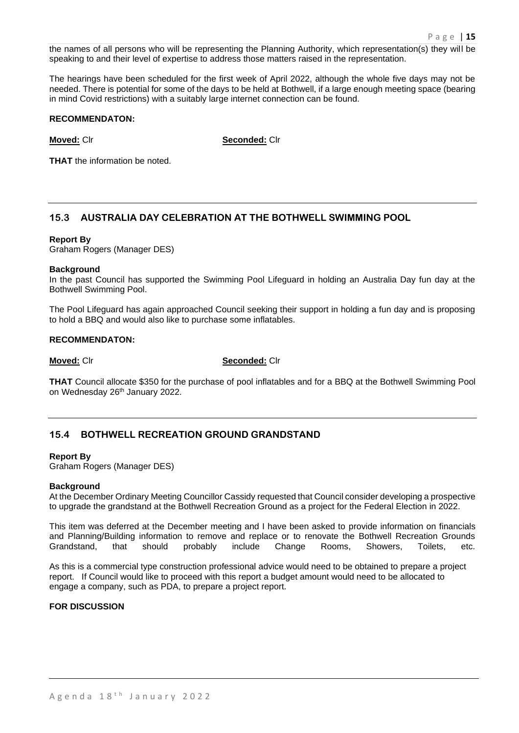the names of all persons who will be representing the Planning Authority, which representation(s) they will be speaking to and their level of expertise to address those matters raised in the representation.

The hearings have been scheduled for the first week of April 2022, although the whole five days may not be needed. There is potential for some of the days to be held at Bothwell, if a large enough meeting space (bearing in mind Covid restrictions) with a suitably large internet connection can be found.

## **RECOMMENDATON:**

**Moved:** Clr **Seconded:** Clr

**THAT** the information be noted.

# **15.3 AUSTRALIA DAY CELEBRATION AT THE BOTHWELL SWIMMING POOL**

## **Report By**

Graham Rogers (Manager DES)

## **Background**

In the past Council has supported the Swimming Pool Lifeguard in holding an Australia Day fun day at the Bothwell Swimming Pool.

The Pool Lifeguard has again approached Council seeking their support in holding a fun day and is proposing to hold a BBQ and would also like to purchase some inflatables.

## **RECOMMENDATON:**

**Moved:** Clr **Seconded:** Clr

**THAT** Council allocate \$350 for the purchase of pool inflatables and for a BBQ at the Bothwell Swimming Pool on Wednesday 26<sup>th</sup> January 2022.

# **15.4 BOTHWELL RECREATION GROUND GRANDSTAND**

## **Report By**

Graham Rogers (Manager DES)

## **Background**

At the December Ordinary Meeting Councillor Cassidy requested that Council consider developing a prospective to upgrade the grandstand at the Bothwell Recreation Ground as a project for the Federal Election in 2022.

This item was deferred at the December meeting and I have been asked to provide information on financials and Planning/Building information to remove and replace or to renovate the Bothwell Recreation Grounds Grandstand, that should probably include Change Rooms, Showers, Toilets, etc.

As this is a commercial type construction professional advice would need to be obtained to prepare a project report. If Council would like to proceed with this report a budget amount would need to be allocated to engage a company, such as PDA, to prepare a project report.

## **FOR DISCUSSION**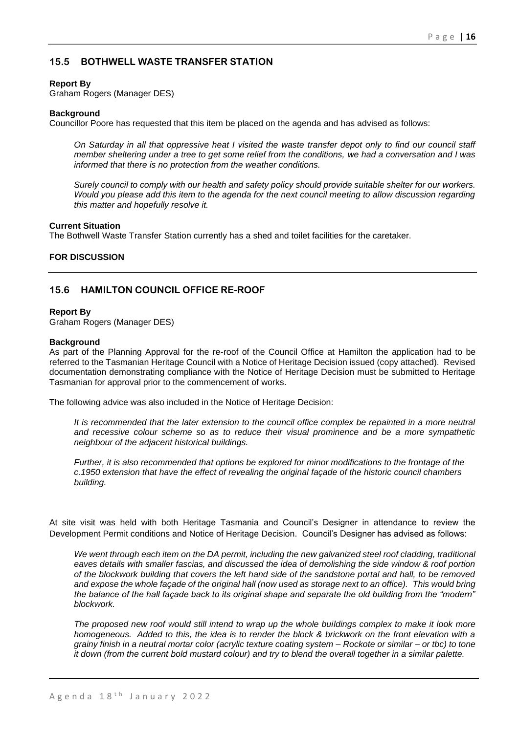# **15.5 BOTHWELL WASTE TRANSFER STATION**

## **Report By**

Graham Rogers (Manager DES)

## **Background**

Councillor Poore has requested that this item be placed on the agenda and has advised as follows:

*On Saturday in all that oppressive heat I visited the waste transfer depot only to find our council staff member sheltering under a tree to get some relief from the conditions, we had a conversation and I was informed that there is no protection from the weather conditions.*

*Surely council to comply with our health and safety policy should provide suitable shelter for our workers. Would you please add this item to the agenda for the next council meeting to allow discussion regarding this matter and hopefully resolve it.*

## **Current Situation**

The Bothwell Waste Transfer Station currently has a shed and toilet facilities for the caretaker.

## **FOR DISCUSSION**

# **15.6 HAMILTON COUNCIL OFFICE RE-ROOF**

### **Report By**

Graham Rogers (Manager DES)

## **Background**

As part of the Planning Approval for the re-roof of the Council Office at Hamilton the application had to be referred to the Tasmanian Heritage Council with a Notice of Heritage Decision issued (copy attached). Revised documentation demonstrating compliance with the Notice of Heritage Decision must be submitted to Heritage Tasmanian for approval prior to the commencement of works.

The following advice was also included in the Notice of Heritage Decision:

*It is recommended that the later extension to the council office complex be repainted in a more neutral and recessive colour scheme so as to reduce their visual prominence and be a more sympathetic neighbour of the adjacent historical buildings.*

*Further, it is also recommended that options be explored for minor modifications to the frontage of the c.1950 extension that have the effect of revealing the original façade of the historic council chambers building.*

At site visit was held with both Heritage Tasmania and Council's Designer in attendance to review the Development Permit conditions and Notice of Heritage Decision. Council's Designer has advised as follows:

*We went through each item on the DA permit, including the new galvanized steel roof cladding, traditional eaves details with smaller fascias, and discussed the idea of demolishing the side window & roof portion of the blockwork building that covers the left hand side of the sandstone portal and hall, to be removed and expose the whole façade of the original hall (now used as storage next to an office). This would bring the balance of the hall façade back to its original shape and separate the old building from the "modern" blockwork.*

*The proposed new roof would still intend to wrap up the whole buildings complex to make it look more homogeneous. Added to this, the idea is to render the block & brickwork on the front elevation with a grainy finish in a neutral mortar color (acrylic texture coating system – Rockote or similar – or tbc) to tone it down (from the current bold mustard colour) and try to blend the overall together in a similar palette.*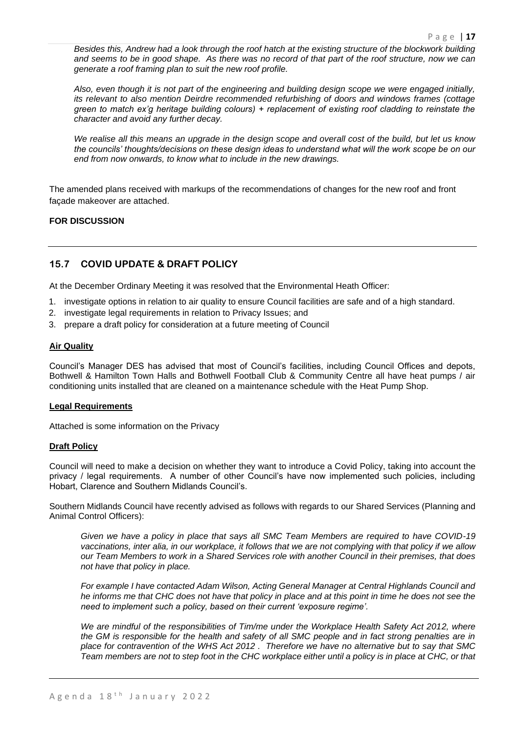*Besides this, Andrew had a look through the roof hatch at the existing structure of the blockwork building and seems to be in good shape. As there was no record of that part of the roof structure, now we can generate a roof framing plan to suit the new roof profile.*

*Also, even though it is not part of the engineering and building design scope we were engaged initially, its relevant to also mention Deirdre recommended refurbishing of doors and windows frames (cottage green to match ex'g heritage building colours) + replacement of existing roof cladding to reinstate the character and avoid any further decay.*

*We realise all this means an upgrade in the design scope and overall cost of the build, but let us know the councils' thoughts/decisions on these design ideas to understand what will the work scope be on our end from now onwards, to know what to include in the new drawings.*

The amended plans received with markups of the recommendations of changes for the new roof and front façade makeover are attached.

## **FOR DISCUSSION**

# **15.7 COVID UPDATE & DRAFT POLICY**

At the December Ordinary Meeting it was resolved that the Environmental Heath Officer:

- 1. investigate options in relation to air quality to ensure Council facilities are safe and of a high standard.
- 2. investigate legal requirements in relation to Privacy Issues; and
- 3. prepare a draft policy for consideration at a future meeting of Council

## **Air Quality**

Council's Manager DES has advised that most of Council's facilities, including Council Offices and depots, Bothwell & Hamilton Town Halls and Bothwell Football Club & Community Centre all have heat pumps / air conditioning units installed that are cleaned on a maintenance schedule with the Heat Pump Shop.

## **Legal Requirements**

Attached is some information on the Privacy

## **Draft Policy**

Council will need to make a decision on whether they want to introduce a Covid Policy, taking into account the privacy / legal requirements. A number of other Council's have now implemented such policies, including Hobart, Clarence and Southern Midlands Council's.

Southern Midlands Council have recently advised as follows with regards to our Shared Services (Planning and Animal Control Officers):

*Given we have a policy in place that says all SMC Team Members are required to have COVID-19 vaccinations, inter alia, in our workplace, it follows that we are not complying with that policy if we allow our Team Members to work in a Shared Services role with another Council in their premises, that does not have that policy in place.*

*For example I have contacted Adam Wilson, Acting General Manager at Central Highlands Council and he informs me that CHC does not have that policy in place and at this point in time he does not see the need to implement such a policy, based on their current 'exposure regime'.*

We are mindful of the responsibilities of Tim/me under the Workplace Health Safety Act 2012, where *the GM is responsible for the health and safety of all SMC people and in fact strong penalties are in place for contravention of the WHS Act 2012 . Therefore we have no alternative but to say that SMC Team members are not to step foot in the CHC workplace either until a policy is in place at CHC, or that*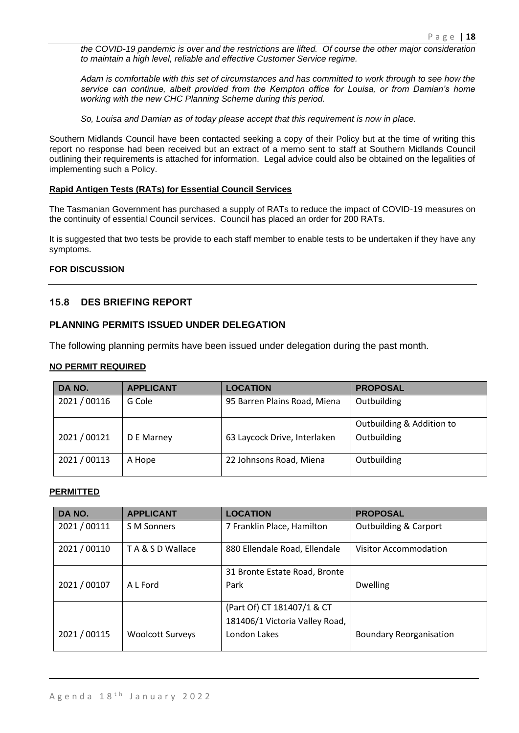*the COVID-19 pandemic is over and the restrictions are lifted. Of course the other major consideration to maintain a high level, reliable and effective Customer Service regime.* 

*Adam is comfortable with this set of circumstances and has committed to work through to see how the service can continue, albeit provided from the Kempton office for Louisa, or from Damian's home working with the new CHC Planning Scheme during this period.*

*So, Louisa and Damian as of today please accept that this requirement is now in place.* 

Southern Midlands Council have been contacted seeking a copy of their Policy but at the time of writing this report no response had been received but an extract of a memo sent to staff at Southern Midlands Council outlining their requirements is attached for information. Legal advice could also be obtained on the legalities of implementing such a Policy.

# **Rapid Antigen Tests (RATs) for Essential Council Services**

The Tasmanian Government has purchased a supply of RATs to reduce the impact of COVID-19 measures on the continuity of essential Council services. Council has placed an order for 200 RATs.

It is suggested that two tests be provide to each staff member to enable tests to be undertaken if they have any symptoms.

## **FOR DISCUSSION**

# **15.8 DES BRIEFING REPORT**

## **PLANNING PERMITS ISSUED UNDER DELEGATION**

The following planning permits have been issued under delegation during the past month.

## **NO PERMIT REQUIRED**

| DA NO.       | <b>APPLICANT</b> | <b>LOCATION</b>              | <b>PROPOSAL</b>                          |
|--------------|------------------|------------------------------|------------------------------------------|
| 2021 / 00116 | G Cole           | 95 Barren Plains Road, Miena | Outbuilding                              |
| 2021/00121   | D E Marney       | 63 Laycock Drive, Interlaken | Outbuilding & Addition to<br>Outbuilding |
| 2021 / 00113 | A Hope           | 22 Johnsons Road, Miena      | Outbuilding                              |

## **PERMITTED**

| DA NO.       | <b>APPLICANT</b>        | <b>LOCATION</b>                | <b>PROPOSAL</b>                  |
|--------------|-------------------------|--------------------------------|----------------------------------|
| 2021 / 00111 | S M Sonners             | 7 Franklin Place, Hamilton     | <b>Outbuilding &amp; Carport</b> |
| 2021 / 00110 | TA & S D Wallace        | 880 Ellendale Road, Ellendale  | Visitor Accommodation            |
|              |                         | 31 Bronte Estate Road, Bronte  |                                  |
| 2021 / 00107 | A L Ford                | Park                           | <b>Dwelling</b>                  |
|              |                         | (Part Of) CT 181407/1 & CT     |                                  |
|              |                         | 181406/1 Victoria Valley Road, |                                  |
| 2021 / 00115 | <b>Woolcott Surveys</b> | London Lakes                   | <b>Boundary Reorganisation</b>   |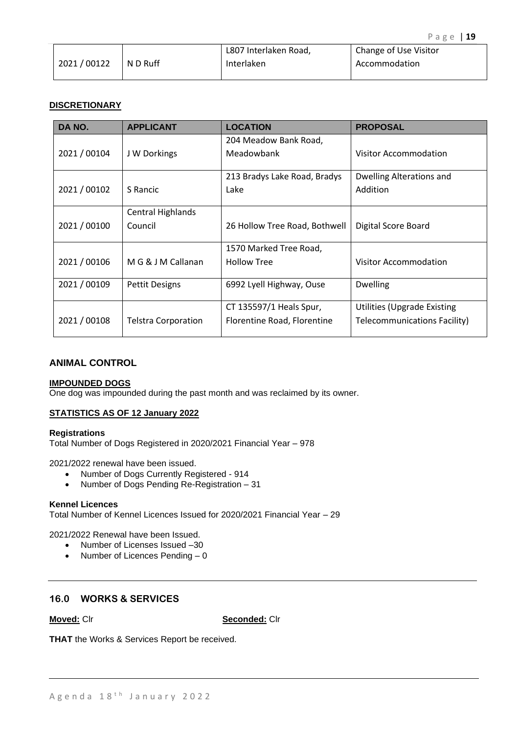|            |          | L807 Interlaken Road, | Change of Use Visitor |
|------------|----------|-----------------------|-----------------------|
| 2021/00122 | N D Ruff | Interlaken            | Accommodation         |

## **DISCRETIONARY**

| DA NO.       | <b>APPLICANT</b>           | <b>LOCATION</b>               | <b>PROPOSAL</b>                    |
|--------------|----------------------------|-------------------------------|------------------------------------|
|              |                            | 204 Meadow Bank Road,         |                                    |
| 2021 / 00104 | J W Dorkings               | Meadowbank                    | Visitor Accommodation              |
|              |                            | 213 Bradys Lake Road, Bradys  | Dwelling Alterations and           |
| 2021 / 00102 | S Rancic                   | Lake                          | Addition                           |
|              | <b>Central Highlands</b>   |                               |                                    |
| 2021 / 00100 | Council                    | 26 Hollow Tree Road, Bothwell | Digital Score Board                |
|              |                            | 1570 Marked Tree Road,        |                                    |
| 2021 / 00106 | M G & J M Callanan         | <b>Hollow Tree</b>            | <b>Visitor Accommodation</b>       |
| 2021 / 00109 | <b>Pettit Designs</b>      | 6992 Lyell Highway, Ouse      | <b>Dwelling</b>                    |
|              |                            | CT 135597/1 Heals Spur,       | <b>Utilities (Upgrade Existing</b> |
| 2021 / 00108 | <b>Telstra Corporation</b> | Florentine Road, Florentine   | Telecommunications Facility)       |

## **ANIMAL CONTROL**

## **IMPOUNDED DOGS**

One dog was impounded during the past month and was reclaimed by its owner.

## **STATISTICS AS OF 12 January 2022**

## **Registrations**

Total Number of Dogs Registered in 2020/2021 Financial Year – 978

2021/2022 renewal have been issued.

- Number of Dogs Currently Registered 914
- Number of Dogs Pending Re-Registration 31

## **Kennel Licences**

Total Number of Kennel Licences Issued for 2020/2021 Financial Year – 29

2021/2022 Renewal have been Issued.

- Number of Licenses Issued –30
- Number of Licences Pending 0

# **16.0 WORKS & SERVICES**

**Moved:** Clr **Seconded:** Clr

**THAT** the Works & Services Report be received.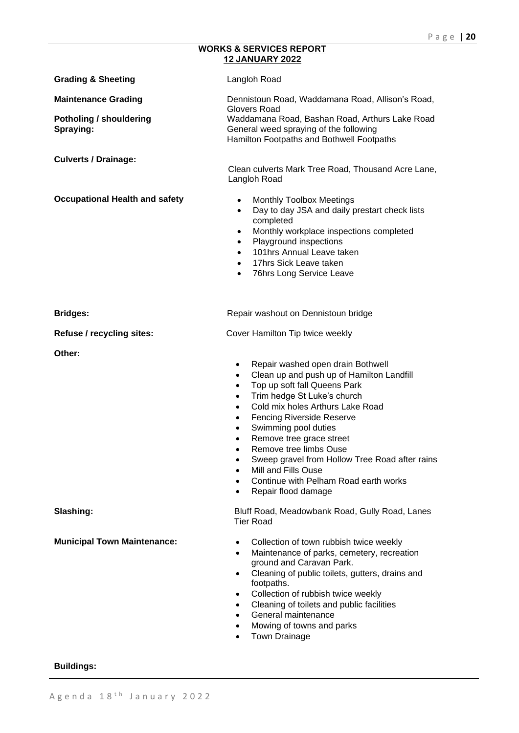## **WORKS & SERVICES REPORT 12 JANUARY 2022**

| <b>Grading &amp; Sheeting</b>               | Langloh Road                                                                                                                                                                                                                                                                                                                                                                                                                                                                                                                            |  |
|---------------------------------------------|-----------------------------------------------------------------------------------------------------------------------------------------------------------------------------------------------------------------------------------------------------------------------------------------------------------------------------------------------------------------------------------------------------------------------------------------------------------------------------------------------------------------------------------------|--|
| <b>Maintenance Grading</b>                  | Dennistoun Road, Waddamana Road, Allison's Road,<br>Glovers Road<br>Waddamana Road, Bashan Road, Arthurs Lake Road<br>General weed spraying of the following<br>Hamilton Footpaths and Bothwell Footpaths                                                                                                                                                                                                                                                                                                                               |  |
| <b>Potholing / shouldering</b><br>Spraying: |                                                                                                                                                                                                                                                                                                                                                                                                                                                                                                                                         |  |
| <b>Culverts / Drainage:</b>                 | Clean culverts Mark Tree Road, Thousand Acre Lane,<br>Langloh Road                                                                                                                                                                                                                                                                                                                                                                                                                                                                      |  |
| <b>Occupational Health and safety</b>       | <b>Monthly Toolbox Meetings</b><br>$\bullet$<br>Day to day JSA and daily prestart check lists<br>$\bullet$<br>completed<br>Monthly workplace inspections completed<br>$\bullet$<br>Playground inspections<br>$\bullet$<br>101hrs Annual Leave taken<br>$\bullet$<br>17hrs Sick Leave taken<br>$\bullet$<br>76hrs Long Service Leave<br>$\bullet$                                                                                                                                                                                        |  |
| <b>Bridges:</b>                             | Repair washout on Dennistoun bridge                                                                                                                                                                                                                                                                                                                                                                                                                                                                                                     |  |
| Refuse / recycling sites:                   | Cover Hamilton Tip twice weekly                                                                                                                                                                                                                                                                                                                                                                                                                                                                                                         |  |
| Other:                                      | Repair washed open drain Bothwell<br>$\bullet$<br>Clean up and push up of Hamilton Landfill<br>$\bullet$<br>Top up soft fall Queens Park<br>$\bullet$<br>Trim hedge St Luke's church<br>$\bullet$<br>Cold mix holes Arthurs Lake Road<br>$\bullet$<br><b>Fencing Riverside Reserve</b><br>$\bullet$<br>Swimming pool duties<br>$\bullet$<br>Remove tree grace street<br>Remove tree limbs Ouse<br>Sweep gravel from Hollow Tree Road after rains<br>Mill and Fills Ouse<br>Continue with Pelham Road earth works<br>Repair flood damage |  |
| Slashing:                                   | Bluff Road, Meadowbank Road, Gully Road, Lanes<br><b>Tier Road</b>                                                                                                                                                                                                                                                                                                                                                                                                                                                                      |  |
| <b>Municipal Town Maintenance:</b>          | Collection of town rubbish twice weekly<br>$\bullet$<br>Maintenance of parks, cemetery, recreation<br>$\bullet$<br>ground and Caravan Park.<br>Cleaning of public toilets, gutters, drains and<br>$\bullet$<br>footpaths.<br>Collection of rubbish twice weekly<br>$\bullet$<br>Cleaning of toilets and public facilities<br>$\bullet$<br>General maintenance<br>$\bullet$<br>Mowing of towns and parks<br>$\bullet$<br>Town Drainage<br>$\bullet$                                                                                      |  |

# **Buildings:**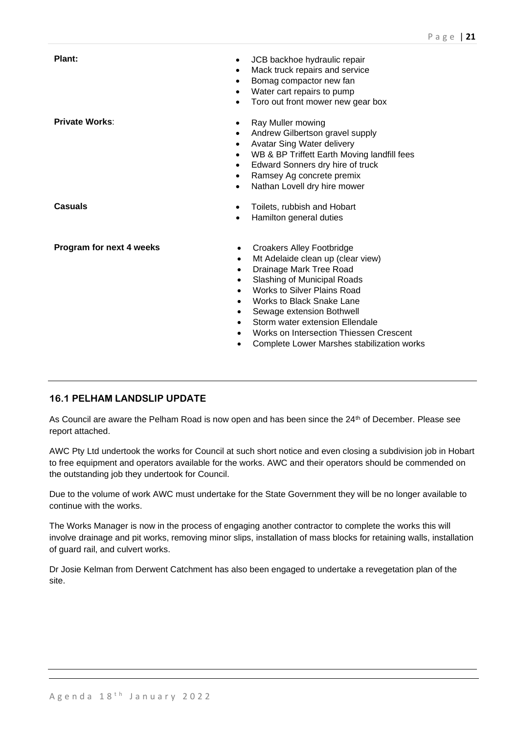| Plant:<br>$\bullet$<br>$\bullet$                                                       | JCB backhoe hydraulic repair<br>Mack truck repairs and service<br>Bomag compactor new fan<br>Water cart repairs to pump<br>Toro out front mower new gear box                                                                                                                                                                                                       |
|----------------------------------------------------------------------------------------|--------------------------------------------------------------------------------------------------------------------------------------------------------------------------------------------------------------------------------------------------------------------------------------------------------------------------------------------------------------------|
| <b>Private Works:</b><br>$\bullet$<br>$\bullet$<br>$\bullet$<br>$\bullet$<br>$\bullet$ | Ray Muller mowing<br>Andrew Gilbertson gravel supply<br>Avatar Sing Water delivery<br>WB & BP Triffett Earth Moving landfill fees<br>Edward Sonners dry hire of truck<br>Ramsey Ag concrete premix<br>Nathan Lovell dry hire mower                                                                                                                                 |
| <b>Casuals</b>                                                                         | Toilets, rubbish and Hobart<br>Hamilton general duties                                                                                                                                                                                                                                                                                                             |
| Program for next 4 weeks                                                               | <b>Croakers Alley Footbridge</b><br>Mt Adelaide clean up (clear view)<br>Drainage Mark Tree Road<br>Slashing of Municipal Roads<br><b>Works to Silver Plains Road</b><br><b>Works to Black Snake Lane</b><br>Sewage extension Bothwell<br>Storm water extension Ellendale<br>Works on Intersection Thiessen Crescent<br>Complete Lower Marshes stabilization works |

# **16.1 PELHAM LANDSLIP UPDATE**

As Council are aware the Pelham Road is now open and has been since the 24<sup>th</sup> of December. Please see report attached.

AWC Pty Ltd undertook the works for Council at such short notice and even closing a subdivision job in Hobart to free equipment and operators available for the works. AWC and their operators should be commended on the outstanding job they undertook for Council.

Due to the volume of work AWC must undertake for the State Government they will be no longer available to continue with the works.

The Works Manager is now in the process of engaging another contractor to complete the works this will involve drainage and pit works, removing minor slips, installation of mass blocks for retaining walls, installation of guard rail, and culvert works.

Dr Josie Kelman from Derwent Catchment has also been engaged to undertake a revegetation plan of the site.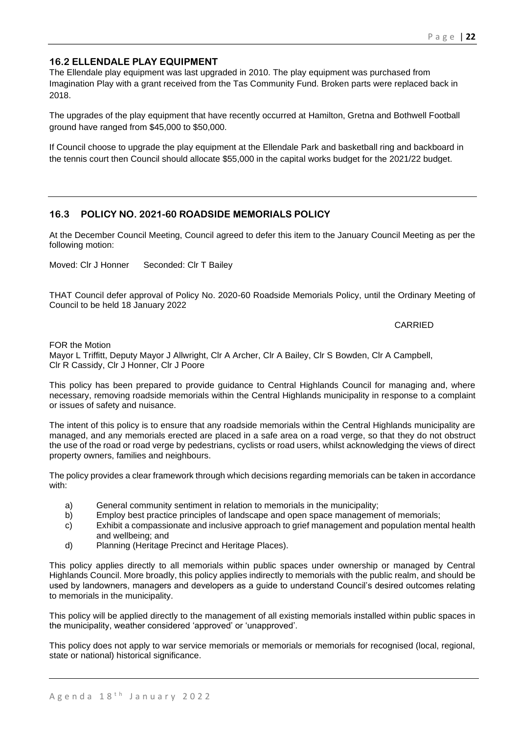# **16.2 ELLENDALE PLAY EQUIPMENT**

The Ellendale play equipment was last upgraded in 2010. The play equipment was purchased from Imagination Play with a grant received from the Tas Community Fund. Broken parts were replaced back in 2018.

The upgrades of the play equipment that have recently occurred at Hamilton, Gretna and Bothwell Football ground have ranged from \$45,000 to \$50,000.

If Council choose to upgrade the play equipment at the Ellendale Park and basketball ring and backboard in the tennis court then Council should allocate \$55,000 in the capital works budget for the 2021/22 budget.

# **16.3 POLICY NO. 2021-60 ROADSIDE MEMORIALS POLICY**

At the December Council Meeting, Council agreed to defer this item to the January Council Meeting as per the following motion:

Moved: Clr J Honner Seconded: Clr T Bailey

THAT Council defer approval of Policy No. 2020-60 Roadside Memorials Policy, until the Ordinary Meeting of Council to be held 18 January 2022

## CARRIED

FOR the Motion

Mayor L Triffitt, Deputy Mayor J Allwright, Clr A Archer, Clr A Bailey, Clr S Bowden, Clr A Campbell, Clr R Cassidy, Clr J Honner, Clr J Poore

This policy has been prepared to provide guidance to Central Highlands Council for managing and, where necessary, removing roadside memorials within the Central Highlands municipality in response to a complaint or issues of safety and nuisance.

The intent of this policy is to ensure that any roadside memorials within the Central Highlands municipality are managed, and any memorials erected are placed in a safe area on a road verge, so that they do not obstruct the use of the road or road verge by pedestrians, cyclists or road users, whilst acknowledging the views of direct property owners, families and neighbours.

The policy provides a clear framework through which decisions regarding memorials can be taken in accordance with:

- a) General community sentiment in relation to memorials in the municipality;
- b) Employ best practice principles of landscape and open space management of memorials;
- c) Exhibit a compassionate and inclusive approach to grief management and population mental health and wellbeing; and
- d) Planning (Heritage Precinct and Heritage Places).

This policy applies directly to all memorials within public spaces under ownership or managed by Central Highlands Council. More broadly, this policy applies indirectly to memorials with the public realm, and should be used by landowners, managers and developers as a guide to understand Council's desired outcomes relating to memorials in the municipality.

This policy will be applied directly to the management of all existing memorials installed within public spaces in the municipality, weather considered 'approved' or 'unapproved'.

This policy does not apply to war service memorials or memorials or memorials for recognised (local, regional, state or national) historical significance.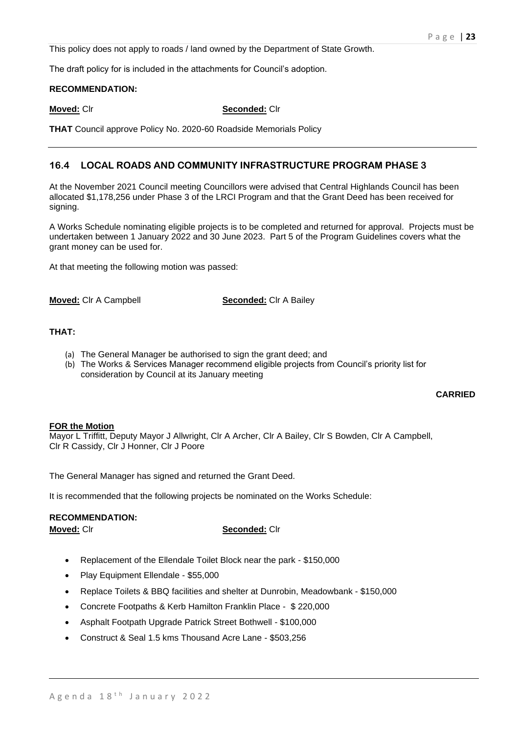This policy does not apply to roads / land owned by the Department of State Growth.

The draft policy for is included in the attachments for Council's adoption.

## **RECOMMENDATION:**

## **Moved:** Clr **Seconded:** Clr

**THAT** Council approve Policy No. 2020-60 Roadside Memorials Policy

# **16.4 LOCAL ROADS AND COMMUNITY INFRASTRUCTURE PROGRAM PHASE 3**

At the November 2021 Council meeting Councillors were advised that Central Highlands Council has been allocated \$1,178,256 under Phase 3 of the LRCI Program and that the Grant Deed has been received for signing.

A Works Schedule nominating eligible projects is to be completed and returned for approval. Projects must be undertaken between 1 January 2022 and 30 June 2023. Part 5 of the Program Guidelines covers what the grant money can be used for.

At that meeting the following motion was passed:

**Moved:** Clr A Campbell **Seconded:** Clr A Bailey

# **THAT:**

- (a) The General Manager be authorised to sign the grant deed; and
- (b) The Works & Services Manager recommend eligible projects from Council's priority list for consideration by Council at its January meeting

## **CARRIED**

## **FOR the Motion**

Mayor L Triffitt, Deputy Mayor J Allwright, Clr A Archer, Clr A Bailey, Clr S Bowden, Clr A Campbell, Clr R Cassidy, Clr J Honner, Clr J Poore

The General Manager has signed and returned the Grant Deed.

It is recommended that the following projects be nominated on the Works Schedule:

## **RECOMMENDATION:**

## **Moved:** Clr **Seconded:** Clr

- Replacement of the Ellendale Toilet Block near the park \$150,000
- Play Equipment Ellendale \$55,000
- Replace Toilets & BBQ facilities and shelter at Dunrobin, Meadowbank \$150,000
- Concrete Footpaths & Kerb Hamilton Franklin Place \$ 220,000
- Asphalt Footpath Upgrade Patrick Street Bothwell \$100,000
- Construct & Seal 1.5 kms Thousand Acre Lane \$503,256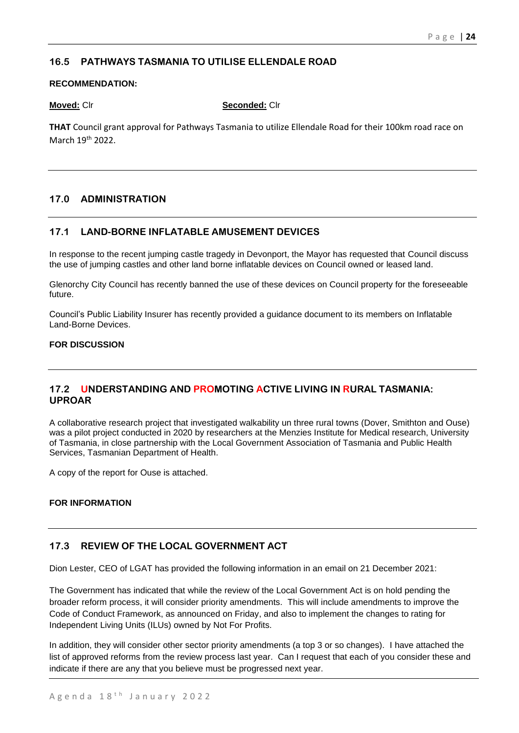# **16.5 PATHWAYS TASMANIA TO UTILISE ELLENDALE ROAD**

## **RECOMMENDATION:**

**Moved:** Clr **Seconded:** Clr

**THAT** Council grant approval for Pathways Tasmania to utilize Ellendale Road for their 100km road race on March 19<sup>th</sup> 2022.

# **17.0 ADMINISTRATION**

# **17.1 LAND-BORNE INFLATABLE AMUSEMENT DEVICES**

In response to the recent jumping castle tragedy in Devonport, the Mayor has requested that Council discuss the use of jumping castles and other land borne inflatable devices on Council owned or leased land.

Glenorchy City Council has recently banned the use of these devices on Council property for the foreseeable future.

Council's Public Liability Insurer has recently provided a guidance document to its members on Inflatable Land-Borne Devices.

# **FOR DISCUSSION**

# **17.2 UNDERSTANDING AND PROMOTING ACTIVE LIVING IN RURAL TASMANIA: UPROAR**

A collaborative research project that investigated walkability un three rural towns (Dover, Smithton and Ouse) was a pilot project conducted in 2020 by researchers at the Menzies Institute for Medical research, University of Tasmania, in close partnership with the Local Government Association of Tasmania and Public Health Services, Tasmanian Department of Health.

A copy of the report for Ouse is attached.

# **FOR INFORMATION**

# **17.3 REVIEW OF THE LOCAL GOVERNMENT ACT**

Dion Lester, CEO of LGAT has provided the following information in an email on 21 December 2021:

The Government has indicated that while the review of the Local Government Act is on hold pending the broader reform process, it will consider priority amendments. This will include amendments to improve the Code of Conduct Framework, as announced on Friday, and also to implement the changes to rating for Independent Living Units (ILUs) owned by Not For Profits.

In addition, they will consider other sector priority amendments (a top 3 or so changes). I have attached the list of approved reforms from the review process last year. Can I request that each of you consider these and indicate if there are any that you believe must be progressed next year.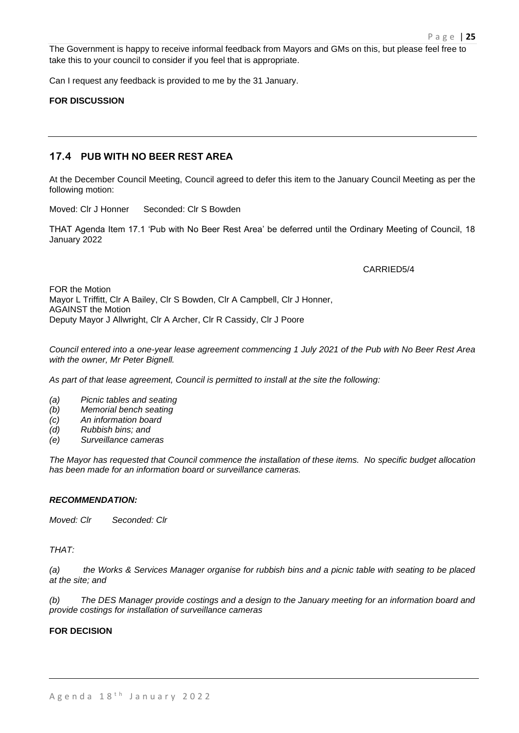The Government is happy to receive informal feedback from Mayors and GMs on this, but please feel free to take this to your council to consider if you feel that is appropriate.

Can I request any feedback is provided to me by the 31 January.

## **FOR DISCUSSION**

## **17.4 PUB WITH NO BEER REST AREA**

At the December Council Meeting, Council agreed to defer this item to the January Council Meeting as per the following motion:

Moved: Clr J Honner Seconded: Clr S Bowden

THAT Agenda Item 17.1 'Pub with No Beer Rest Area' be deferred until the Ordinary Meeting of Council, 18 January 2022

## CARRIED5/4

FOR the Motion Mayor L Triffitt, Clr A Bailey, Clr S Bowden, Clr A Campbell, Clr J Honner, AGAINST the Motion Deputy Mayor J Allwright, Clr A Archer, Clr R Cassidy, Clr J Poore

*Council entered into a one-year lease agreement commencing 1 July 2021 of the Pub with No Beer Rest Area with the owner, Mr Peter Bignell.* 

*As part of that lease agreement, Council is permitted to install at the site the following:*

- *(a) Picnic tables and seating*
- *(b) Memorial bench seating*
- *(c) An information board*
- *(d) Rubbish bins; and*
- *(e) Surveillance cameras*

*The Mayor has requested that Council commence the installation of these items. No specific budget allocation has been made for an information board or surveillance cameras.*

## *RECOMMENDATION:*

*Moved: Clr Seconded: Clr*

*THAT:*

*(a) the Works & Services Manager organise for rubbish bins and a picnic table with seating to be placed at the site; and* 

*(b) The DES Manager provide costings and a design to the January meeting for an information board and provide costings for installation of surveillance cameras*

## **FOR DECISION**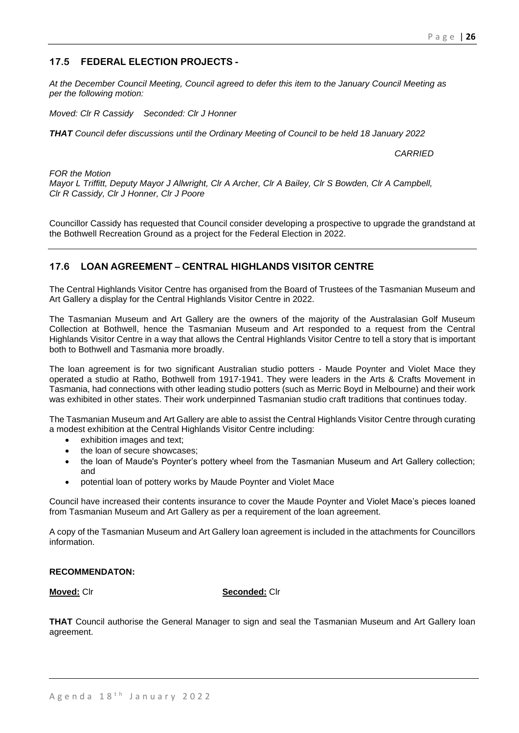## P a g e | **26**

# **17.5 FEDERAL ELECTION PROJECTS -**

*At the December Council Meeting, Council agreed to defer this item to the January Council Meeting as per the following motion:*

*Moved: Clr R Cassidy Seconded: Clr J Honner*

*THAT Council defer discussions until the Ordinary Meeting of Council to be held 18 January 2022*

*CARRIED*

*FOR the Motion Mayor L Triffitt, Deputy Mayor J Allwright, Clr A Archer, Clr A Bailey, Clr S Bowden, Clr A Campbell, Clr R Cassidy, Clr J Honner, Clr J Poore*

Councillor Cassidy has requested that Council consider developing a prospective to upgrade the grandstand at the Bothwell Recreation Ground as a project for the Federal Election in 2022.

# **17.6 LOAN AGREEMENT – CENTRAL HIGHLANDS VISITOR CENTRE**

The Central Highlands Visitor Centre has organised from the Board of Trustees of the Tasmanian Museum and Art Gallery a display for the Central Highlands Visitor Centre in 2022.

The Tasmanian Museum and Art Gallery are the owners of the majority of the Australasian Golf Museum Collection at Bothwell, hence the Tasmanian Museum and Art responded to a request from the Central Highlands Visitor Centre in a way that allows the Central Highlands Visitor Centre to tell a story that is important both to Bothwell and Tasmania more broadly.

The loan agreement is for two significant Australian studio potters - Maude Poynter and Violet Mace they operated a studio at Ratho, Bothwell from 1917-1941. They were leaders in the Arts & Crafts Movement in Tasmania, had connections with other leading studio potters (such as Merric Boyd in Melbourne) and their work was exhibited in other states. Their work underpinned Tasmanian studio craft traditions that continues today.

The Tasmanian Museum and Art Gallery are able to assist the Central Highlands Visitor Centre through curating a modest exhibition at the Central Highlands Visitor Centre including:

- exhibition images and text;
- the loan of secure showcases:
- the loan of Maude's Poynter's pottery wheel from the Tasmanian Museum and Art Gallery collection; and
- potential loan of pottery works by Maude Poynter and Violet Mace

Council have increased their contents insurance to cover the Maude Poynter and Violet Mace's pieces loaned from Tasmanian Museum and Art Gallery as per a requirement of the loan agreement.

A copy of the Tasmanian Museum and Art Gallery loan agreement is included in the attachments for Councillors information.

## **RECOMMENDATON:**

**Moved:** Clr **Seconded:** Clr

**THAT** Council authorise the General Manager to sign and seal the Tasmanian Museum and Art Gallery loan agreement.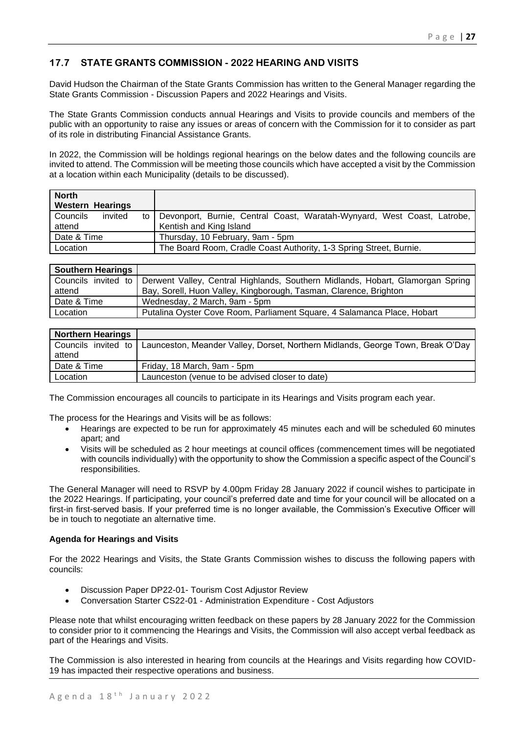# **17.7 STATE GRANTS COMMISSION - 2022 HEARING AND VISITS**

David Hudson the Chairman of the State Grants Commission has written to the General Manager regarding the State Grants Commission - Discussion Papers and 2022 Hearings and Visits.

The State Grants Commission conducts annual Hearings and Visits to provide councils and members of the public with an opportunity to raise any issues or areas of concern with the Commission for it to consider as part of its role in distributing Financial Assistance Grants.

In 2022, the Commission will be holdings regional hearings on the below dates and the following councils are invited to attend. The Commission will be meeting those councils which have accepted a visit by the Commission at a location within each Municipality (details to be discussed).

| <b>North</b><br><b>Western Hearings</b> |                                                                                                         |  |
|-----------------------------------------|---------------------------------------------------------------------------------------------------------|--|
| invited<br>Councils<br>attend           | to   Devonport, Burnie, Central Coast, Waratah-Wynyard, West Coast, Latrobe,<br>Kentish and King Island |  |
| Date & Time                             | Thursday, 10 February, 9am - 5pm                                                                        |  |
| Location                                | The Board Room, Cradle Coast Authority, 1-3 Spring Street, Burnie.                                      |  |

| Southern Hearings |                                                                                                                                                                         |  |
|-------------------|-------------------------------------------------------------------------------------------------------------------------------------------------------------------------|--|
| attend            | Councils invited to Derwent Valley, Central Highlands, Southern Midlands, Hobart, Glamorgan Spring<br>Bay, Sorell, Huon Valley, Kingborough, Tasman, Clarence, Brighton |  |
| Date & Time       | Wednesday, 2 March, 9am - 5pm                                                                                                                                           |  |
| Location          | Putalina Oyster Cove Room, Parliament Square, 4 Salamanca Place, Hobart                                                                                                 |  |

| Northern Hearings |                                                                                                       |
|-------------------|-------------------------------------------------------------------------------------------------------|
| attend            | Councils invited to   Launceston, Meander Valley, Dorset, Northern Midlands, George Town, Break O'Day |
| Date & Time       | Friday, 18 March, 9am - 5pm                                                                           |
| Location          | Launceston (venue to be advised closer to date)                                                       |

The Commission encourages all councils to participate in its Hearings and Visits program each year.

The process for the Hearings and Visits will be as follows:

- Hearings are expected to be run for approximately 45 minutes each and will be scheduled 60 minutes apart; and
- Visits will be scheduled as 2 hour meetings at council offices (commencement times will be negotiated with councils individually) with the opportunity to show the Commission a specific aspect of the Council's responsibilities.

The General Manager will need to RSVP by 4.00pm Friday 28 January 2022 if council wishes to participate in the 2022 Hearings. If participating, your council's preferred date and time for your council will be allocated on a first-in first-served basis. If your preferred time is no longer available, the Commission's Executive Officer will be in touch to negotiate an alternative time.

## **Agenda for Hearings and Visits**

For the 2022 Hearings and Visits, the State Grants Commission wishes to discuss the following papers with councils:

- Discussion Paper DP22-01- Tourism Cost Adjustor Review
- Conversation Starter CS22-01 Administration Expenditure Cost Adjustors

Please note that whilst encouraging written feedback on these papers by 28 January 2022 for the Commission to consider prior to it commencing the Hearings and Visits, the Commission will also accept verbal feedback as part of the Hearings and Visits.

The Commission is also interested in hearing from councils at the Hearings and Visits regarding how COVID-19 has impacted their respective operations and business.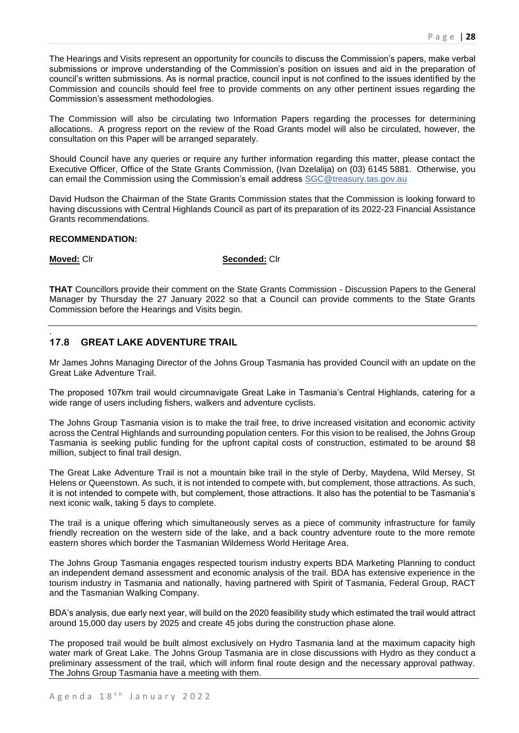The Hearings and Visits represent an opportunity for councils to discuss the Commission's papers, make verbal submissions or improve understanding of the Commission's position on issues and aid in the preparation of council's written submissions. As is normal practice, council input is not confined to the issues identified by the Commission and councils should feel free to provide comments on any other pertinent issues regarding the Commission's assessment methodologies.

The Commission will also be circulating two Information Papers regarding the processes for determining allocations. A progress report on the review of the Road Grants model will also be circulated, however, the consultation on this Paper will be arranged separately.

Should Council have any queries or require any further information regarding this matter, please contact the Executive Officer, Office of the State Grants Commission, (Ivan Dzelalija) on (03) 6145 5881. Otherwise, you can email the Commission using the Commission's email address [SGC@treasury.tas.gov.au](mailto:SGC@treasury.tas.gov.au)

David Hudson the Chairman of the State Grants Commission states that the Commission is looking forward to having discussions with Central Highlands Council as part of its preparation of its 2022-23 Financial Assistance Grants recommendations.

## **RECOMMENDATION:**

.

**Moved:** Clr **Seconded:** Clr

**THAT** Councillors provide their comment on the State Grants Commission - Discussion Papers to the General Manager by Thursday the 27 January 2022 so that a Council can provide comments to the State Grants Commission before the Hearings and Visits begin.

# **17.8 GREAT LAKE ADVENTURE TRAIL**

Mr James Johns Managing Director of the Johns Group Tasmania has provided Council with an update on the Great Lake Adventure Trail.

The proposed 107km trail would circumnavigate Great Lake in Tasmania's Central Highlands, catering for a wide range of users including fishers, walkers and adventure cyclists.

The Johns Group Tasmania vision is to make the trail free, to drive increased visitation and economic activity across the Central Highlands and surrounding population centers. For this vision to be realised, the Johns Group Tasmania is seeking public funding for the upfront capital costs of construction, estimated to be around \$8 million, subject to final trail design.

The Great Lake Adventure Trail is not a mountain bike trail in the style of Derby, Maydena, Wild Mersey, St Helens or Queenstown. As such, it is not intended to compete with, but complement, those attractions. As such, it is not intended to compete with, but complement, those attractions. It also has the potential to be Tasmania's next iconic walk, taking 5 days to complete.

The trail is a unique offering which simultaneously serves as a piece of community infrastructure for family friendly recreation on the western side of the lake, and a back country adventure route to the more remote eastern shores which border the Tasmanian Wilderness World Heritage Area.

The Johns Group Tasmania engages respected tourism industry experts BDA Marketing Planning to conduct an independent demand assessment and economic analysis of the trail. BDA has extensive experience in the tourism industry in Tasmania and nationally, having partnered with Spirit of Tasmania, Federal Group, RACT and the Tasmanian Walking Company.

BDA's analysis, due early next year, will build on the 2020 feasibility study which estimated the trail would attract around 15,000 day users by 2025 and create 45 jobs during the construction phase alone.

The proposed trail would be built almost exclusively on Hydro Tasmania land at the maximum capacity high water mark of Great Lake. The Johns Group Tasmania are in close discussions with Hydro as they conduct a preliminary assessment of the trail, which will inform final route design and the necessary approval pathway. The Johns Group Tasmania have a meeting with them.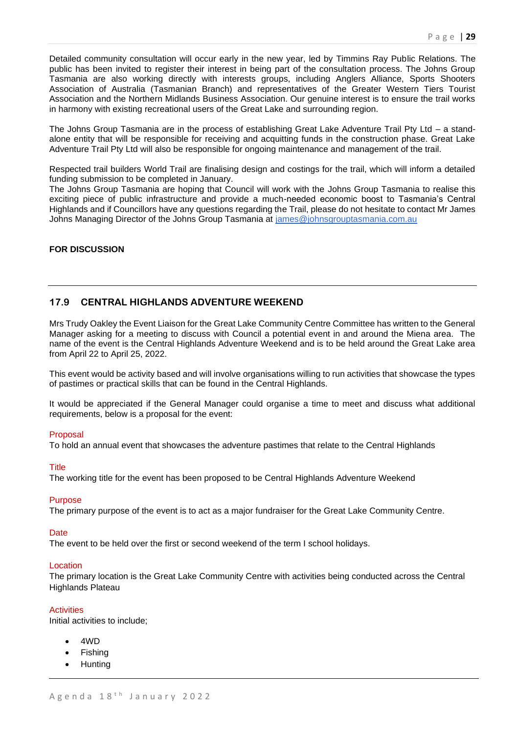Detailed community consultation will occur early in the new year, led by Timmins Ray Public Relations. The public has been invited to register their interest in being part of the consultation process. The Johns Group Tasmania are also working directly with interests groups, including Anglers Alliance, Sports Shooters Association of Australia (Tasmanian Branch) and representatives of the Greater Western Tiers Tourist Association and the Northern Midlands Business Association. Our genuine interest is to ensure the trail works in harmony with existing recreational users of the Great Lake and surrounding region.

The Johns Group Tasmania are in the process of establishing Great Lake Adventure Trail Pty Ltd – a standalone entity that will be responsible for receiving and acquitting funds in the construction phase. Great Lake Adventure Trail Pty Ltd will also be responsible for ongoing maintenance and management of the trail.

Respected trail builders World Trail are finalising design and costings for the trail, which will inform a detailed funding submission to be completed in January.

The Johns Group Tasmania are hoping that Council will work with the Johns Group Tasmania to realise this exciting piece of public infrastructure and provide a much-needed economic boost to Tasmania's Central Highlands and if Councillors have any questions regarding the Trail, please do not hesitate to contact Mr James Johns Managing Director of the Johns Group Tasmania at [james@johnsgrouptasmania.com.au](mailto:james@johnsgrouptasmania.com.au)

## **FOR DISCUSSION**

# **17.9 CENTRAL HIGHLANDS ADVENTURE WEEKEND**

Mrs Trudy Oakley the Event Liaison for the Great Lake Community Centre Committee has written to the General Manager asking for a meeting to discuss with Council a potential event in and around the Miena area. The name of the event is the Central Highlands Adventure Weekend and is to be held around the Great Lake area from April 22 to April 25, 2022.

This event would be activity based and will involve organisations willing to run activities that showcase the types of pastimes or practical skills that can be found in the Central Highlands.

It would be appreciated if the General Manager could organise a time to meet and discuss what additional requirements, below is a proposal for the event:

## Proposal

To hold an annual event that showcases the adventure pastimes that relate to the Central Highlands

## Title

The working title for the event has been proposed to be Central Highlands Adventure Weekend

## Purpose

The primary purpose of the event is to act as a major fundraiser for the Great Lake Community Centre.

## **Date**

The event to be held over the first or second weekend of the term I school holidays.

## Location

The primary location is the Great Lake Community Centre with activities being conducted across the Central Highlands Plateau

## **Activities**

Initial activities to include;

- 4WD
- **Fishing**
- Hunting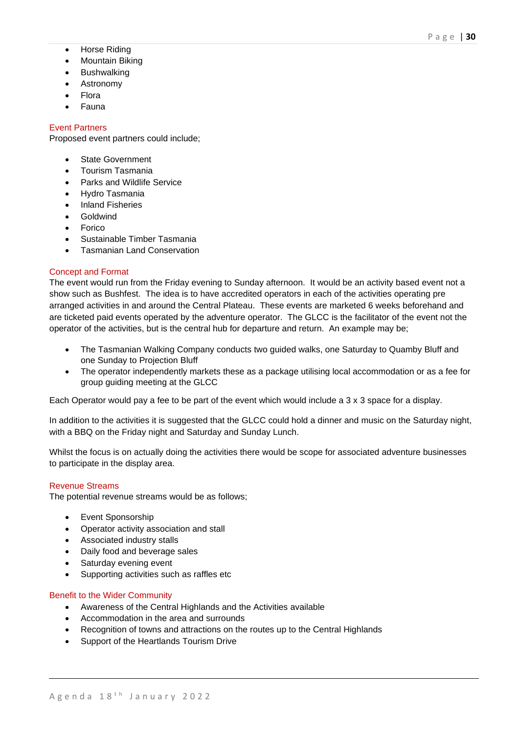- Horse Riding
- Mountain Biking
- Bushwalking
- Astronomy
- Flora
- Fauna

# Event Partners

Proposed event partners could include;

- State Government
- Tourism Tasmania
- Parks and Wildlife Service
- Hydro Tasmania
- Inland Fisheries
- Goldwind
- Forico
- Sustainable Timber Tasmania
- Tasmanian Land Conservation

## Concept and Format

The event would run from the Friday evening to Sunday afternoon. It would be an activity based event not a show such as Bushfest. The idea is to have accredited operators in each of the activities operating pre arranged activities in and around the Central Plateau. These events are marketed 6 weeks beforehand and are ticketed paid events operated by the adventure operator. The GLCC is the facilitator of the event not the operator of the activities, but is the central hub for departure and return. An example may be;

- The Tasmanian Walking Company conducts two guided walks, one Saturday to Quamby Bluff and one Sunday to Projection Bluff
- The operator independently markets these as a package utilising local accommodation or as a fee for group guiding meeting at the GLCC

Each Operator would pay a fee to be part of the event which would include a 3 x 3 space for a display.

In addition to the activities it is suggested that the GLCC could hold a dinner and music on the Saturday night, with a BBQ on the Friday night and Saturday and Sunday Lunch.

Whilst the focus is on actually doing the activities there would be scope for associated adventure businesses to participate in the display area.

## Revenue Streams

The potential revenue streams would be as follows;

- Event Sponsorship
- Operator activity association and stall
- Associated industry stalls
- Daily food and beverage sales
- Saturday evening event
- Supporting activities such as raffles etc

## Benefit to the Wider Community

- Awareness of the Central Highlands and the Activities available
- Accommodation in the area and surrounds
- Recognition of towns and attractions on the routes up to the Central Highlands
- Support of the Heartlands Tourism Drive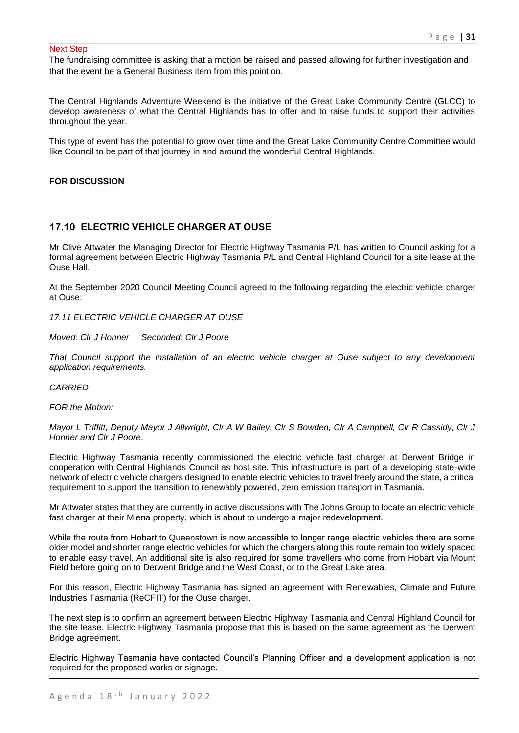### Next Step

The fundraising committee is asking that a motion be raised and passed allowing for further investigation and that the event be a General Business item from this point on.

The Central Highlands Adventure Weekend is the initiative of the Great Lake Community Centre (GLCC) to develop awareness of what the Central Highlands has to offer and to raise funds to support their activities throughout the year.

This type of event has the potential to grow over time and the Great Lake Community Centre Committee would like Council to be part of that journey in and around the wonderful Central Highlands.

## **FOR DISCUSSION**

# **17.10 ELECTRIC VEHICLE CHARGER AT OUSE**

Mr Clive Attwater the Managing Director for Electric Highway Tasmania P/L has written to Council asking for a formal agreement between Electric Highway Tasmania P/L and Central Highland Council for a site lease at the Ouse Hall.

At the September 2020 Council Meeting Council agreed to the following regarding the electric vehicle charger at Ouse:

*17.11 ELECTRIC VEHICLE CHARGER AT OUSE*

*Moved: Clr J Honner Seconded: Clr J Poore*

*That Council support the installation of an electric vehicle charger at Ouse subject to any development application requirements.*

*CARRIED*

*FOR the Motion:*

*Mayor L Triffitt, Deputy Mayor J Allwright, Clr A W Bailey, Clr S Bowden, Clr A Campbell, Clr R Cassidy, Clr J Honner and Clr J Poore*.

Electric Highway Tasmania recently commissioned the electric vehicle fast charger at Derwent Bridge in cooperation with Central Highlands Council as host site. This infrastructure is part of a developing state-wide network of electric vehicle chargers designed to enable electric vehicles to travel freely around the state, a critical requirement to support the transition to renewably powered, zero emission transport in Tasmania.

Mr Attwater states that they are currently in active discussions with The Johns Group to locate an electric vehicle fast charger at their Miena property, which is about to undergo a major redevelopment.

While the route from Hobart to Queenstown is now accessible to longer range electric vehicles there are some older model and shorter range electric vehicles for which the chargers along this route remain too widely spaced to enable easy travel. An additional site is also required for some travellers who come from Hobart via Mount Field before going on to Derwent Bridge and the West Coast, or to the Great Lake area.

For this reason, Electric Highway Tasmania has signed an agreement with Renewables, Climate and Future Industries Tasmania (ReCFIT) for the Ouse charger.

The next step is to confirm an agreement between Electric Highway Tasmania and Central Highland Council for the site lease. Electric Highway Tasmania propose that this is based on the same agreement as the Derwent Bridge agreement.

Electric Highway Tasmania have contacted Council's Planning Officer and a development application is not required for the proposed works or signage.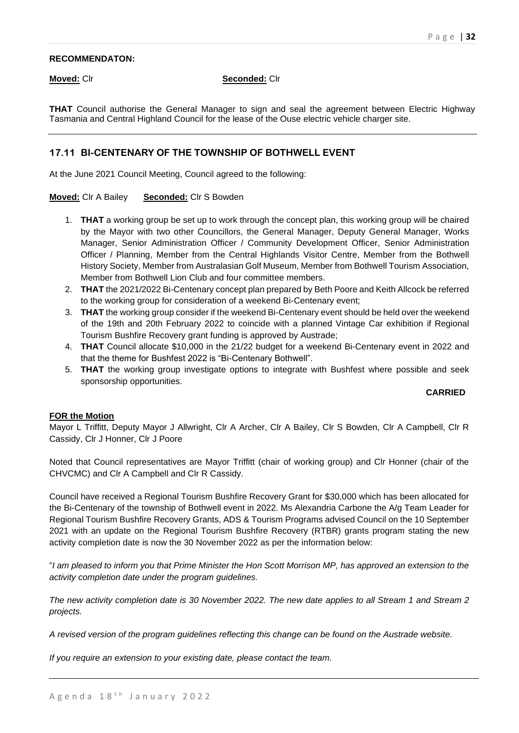## **RECOMMENDATON:**

## **Moved:** Clr **Seconded:** Clr

**THAT** Council authorise the General Manager to sign and seal the agreement between Electric Highway Tasmania and Central Highland Council for the lease of the Ouse electric vehicle charger site.

# **17.11 BI-CENTENARY OF THE TOWNSHIP OF BOTHWELL EVENT**

At the June 2021 Council Meeting, Council agreed to the following:

## **Moved:** Clr A Bailey **Seconded:** Clr S Bowden

- 1. **THAT** a working group be set up to work through the concept plan, this working group will be chaired by the Mayor with two other Councillors, the General Manager, Deputy General Manager, Works Manager, Senior Administration Officer / Community Development Officer, Senior Administration Officer / Planning, Member from the Central Highlands Visitor Centre, Member from the Bothwell History Society, Member from Australasian Golf Museum, Member from Bothwell Tourism Association, Member from Bothwell Lion Club and four committee members.
- 2. **THAT** the 2021/2022 Bi-Centenary concept plan prepared by Beth Poore and Keith Allcock be referred to the working group for consideration of a weekend Bi-Centenary event;
- 3. **THAT** the working group consider if the weekend Bi-Centenary event should be held over the weekend of the 19th and 20th February 2022 to coincide with a planned Vintage Car exhibition if Regional Tourism Bushfire Recovery grant funding is approved by Austrade;
- 4. **THAT** Council allocate \$10,000 in the 21/22 budget for a weekend Bi-Centenary event in 2022 and that the theme for Bushfest 2022 is "Bi-Centenary Bothwell".
- 5. **THAT** the working group investigate options to integrate with Bushfest where possible and seek sponsorship opportunities.

## **CARRIED**

## **FOR the Motion**

Mayor L Triffitt, Deputy Mayor J Allwright, Clr A Archer, Clr A Bailey, Clr S Bowden, Clr A Campbell, Clr R Cassidy, Clr J Honner, Clr J Poore

Noted that Council representatives are Mayor Triffitt (chair of working group) and Clr Honner (chair of the CHVCMC) and Clr A Campbell and Clr R Cassidy.

Council have received a Regional Tourism Bushfire Recovery Grant for \$30,000 which has been allocated for the Bi-Centenary of the township of Bothwell event in 2022. Ms Alexandria Carbone the A/g Team Leader for Regional Tourism Bushfire Recovery Grants, ADS & Tourism Programs advised Council on the 10 September 2021 with an update on the Regional Tourism Bushfire Recovery (RTBR) grants program stating the new activity completion date is now the 30 November 2022 as per the information below:

"*I am pleased to inform you that Prime Minister the Hon Scott Morrison MP, has approved an extension to the activity completion date under the program guidelines.*

*The new activity completion date is 30 November 2022. The new date applies to all Stream 1 and Stream 2 projects.*

*A revised version of the program guidelines reflecting this change can be found on the Austrade website.*

*If you require an extension to your existing date, please contact the team.*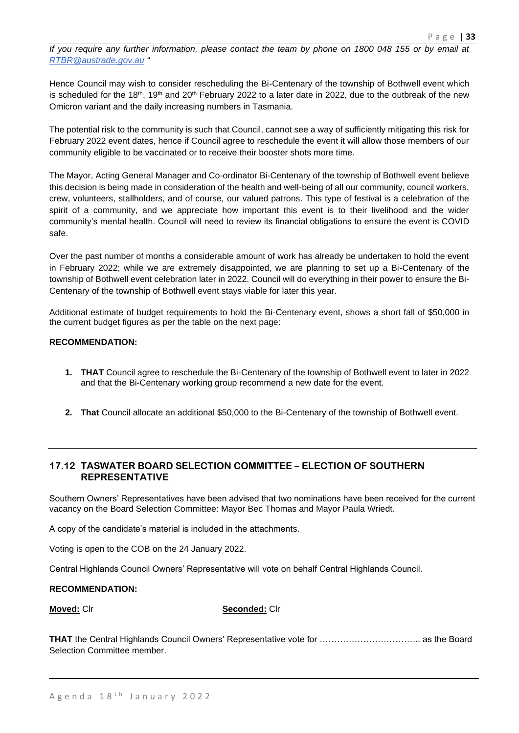*If you require any further information, please contact the team by phone on 1800 048 155 or by email at [RTBR@austrade.gov.au](mailto:RTBR@austrade.gov.au) "*

Hence Council may wish to consider rescheduling the Bi-Centenary of the township of Bothwell event which is scheduled for the 18<sup>th</sup>, 19<sup>th</sup> and 20<sup>th</sup> February 2022 to a later date in 2022, due to the outbreak of the new Omicron variant and the daily increasing numbers in Tasmania.

The potential risk to the community is such that Council, cannot see a way of sufficiently mitigating this risk for February 2022 event dates, hence if Council agree to reschedule the event it will allow those members of our community eligible to be vaccinated or to receive their booster shots more time.

The Mayor, Acting General Manager and Co-ordinator Bi-Centenary of the township of Bothwell event believe this decision is being made in consideration of the health and well-being of all our community, council workers, crew, volunteers, stallholders, and of course, our valued patrons. This type of festival is a celebration of the spirit of a community, and we appreciate how important this event is to their livelihood and the wider community's mental health. Council will need to review its financial obligations to ensure the event is COVID safe.

Over the past number of months a considerable amount of work has already be undertaken to hold the event in February 2022; while we are extremely disappointed, we are planning to set up a Bi-Centenary of the township of Bothwell event celebration later in 2022. Council will do everything in their power to ensure the Bi-Centenary of the township of Bothwell event stays viable for later this year.

Additional estimate of budget requirements to hold the Bi-Centenary event, shows a short fall of \$50,000 in the current budget figures as per the table on the next page:

## **RECOMMENDATION:**

- **1. THAT** Council agree to reschedule the Bi-Centenary of the township of Bothwell event to later in 2022 and that the Bi-Centenary working group recommend a new date for the event.
- **2. That** Council allocate an additional \$50,000 to the Bi-Centenary of the township of Bothwell event.

# **17.12 TASWATER BOARD SELECTION COMMITTEE – ELECTION OF SOUTHERN REPRESENTATIVE**

Southern Owners' Representatives have been advised that two nominations have been received for the current vacancy on the Board Selection Committee: Mayor Bec Thomas and Mayor Paula Wriedt.

A copy of the candidate's material is included in the attachments.

Voting is open to the COB on the 24 January 2022.

Central Highlands Council Owners' Representative will vote on behalf Central Highlands Council.

## **RECOMMENDATION:**

**Moved:** Clr **Seconded:** Clr

**THAT** the Central Highlands Council Owners' Representative vote for …………………………….. as the Board Selection Committee member.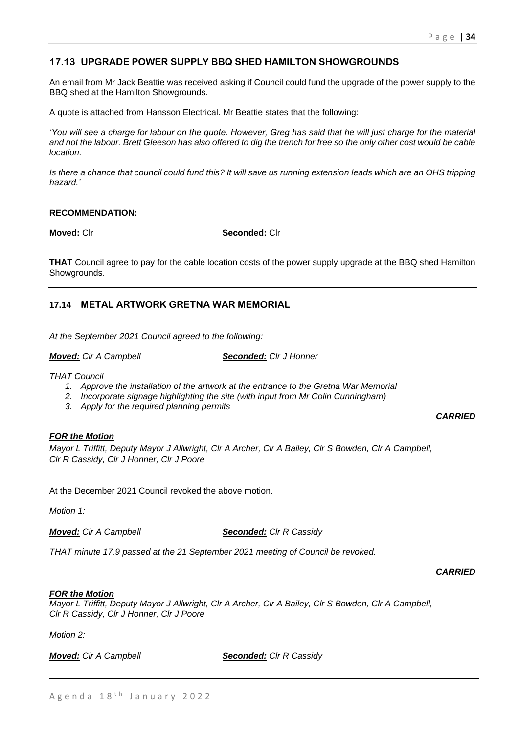# **17.13 UPGRADE POWER SUPPLY BBQ SHED HAMILTON SHOWGROUNDS**

An email from Mr Jack Beattie was received asking if Council could fund the upgrade of the power supply to the BBQ shed at the Hamilton Showgrounds.

A quote is attached from Hansson Electrical. Mr Beattie states that the following:

*'You will see a charge for labour on the quote. However, Greg has said that he will just charge for the material and not the labour. Brett Gleeson has also offered to dig the trench for free so the only other cost would be cable location.*

*Is there a chance that council could fund this? It will save us running extension leads which are an OHS tripping hazard.'*

## **RECOMMENDATION:**

**Moved:** Clr **Seconded:** Clr

**THAT** Council agree to pay for the cable location costs of the power supply upgrade at the BBQ shed Hamilton Showgrounds.

# **17.14 METAL ARTWORK GRETNA WAR MEMORIAL**

*At the September 2021 Council agreed to the following:*

*Moved: Clr A Campbell Seconded: Clr J Honner*

*THAT Council* 

- *1. Approve the installation of the artwork at the entrance to the Gretna War Memorial*
- *2. Incorporate signage highlighting the site (with input from Mr Colin Cunningham)*
- *3. Apply for the required planning permits*

## *FOR the Motion*

*Mayor L Triffitt, Deputy Mayor J Allwright, Clr A Archer, Clr A Bailey, Clr S Bowden, Clr A Campbell, Clr R Cassidy, Clr J Honner, Clr J Poore*

At the December 2021 Council revoked the above motion.

*Motion 1:*

*Moved: Clr A Campbell Seconded: Clr R Cassidy*

*THAT minute 17.9 passed at the 21 September 2021 meeting of Council be revoked.*

*CARRIED*

*CARRIED*

## *FOR the Motion*

*Mayor L Triffitt, Deputy Mayor J Allwright, Clr A Archer, Clr A Bailey, Clr S Bowden, Clr A Campbell, Clr R Cassidy, Clr J Honner, Clr J Poore*

*Motion 2:*

*Moved: Clr A Campbell Seconded: Clr R Cassidy*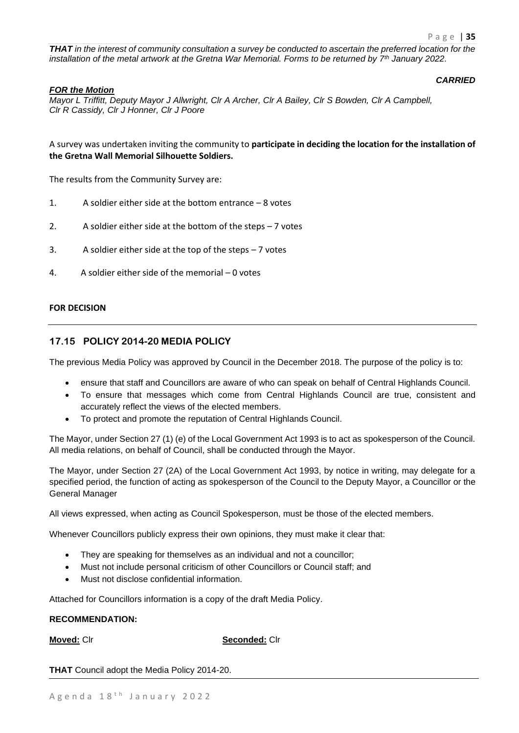*CARRIED*

*THAT in the interest of community consultation a survey be conducted to ascertain the preferred location for the installation of the metal artwork at the Gretna War Memorial. Forms to be returned by 7th January 2022.*

## *FOR the Motion*

*Mayor L Triffitt, Deputy Mayor J Allwright, Clr A Archer, Clr A Bailey, Clr S Bowden, Clr A Campbell, Clr R Cassidy, Clr J Honner, Clr J Poore*

A survey was undertaken inviting the community to **participate in deciding the location for the installation of the Gretna Wall Memorial Silhouette Soldiers.**

The results from the Community Survey are:

- 1. A soldier either side at the bottom entrance 8 votes
- 2. A soldier either side at the bottom of the steps 7 votes
- 3. A soldier either side at the top of the steps 7 votes
- 4. A soldier either side of the memorial 0 votes

## **FOR DECISION**

# **17.15 POLICY 2014-20 MEDIA POLICY**

The previous Media Policy was approved by Council in the December 2018. The purpose of the policy is to:

- ensure that staff and Councillors are aware of who can speak on behalf of Central Highlands Council.
- To ensure that messages which come from Central Highlands Council are true, consistent and accurately reflect the views of the elected members.
- To protect and promote the reputation of Central Highlands Council.

The Mayor, under Section 27 (1) (e) of the Local Government Act 1993 is to act as spokesperson of the Council. All media relations, on behalf of Council, shall be conducted through the Mayor.

The Mayor, under Section 27 (2A) of the Local Government Act 1993, by notice in writing, may delegate for a specified period, the function of acting as spokesperson of the Council to the Deputy Mayor, a Councillor or the General Manager

All views expressed, when acting as Council Spokesperson, must be those of the elected members.

Whenever Councillors publicly express their own opinions, they must make it clear that:

- They are speaking for themselves as an individual and not a councillor;
- Must not include personal criticism of other Councillors or Council staff; and
- Must not disclose confidential information.

Attached for Councillors information is a copy of the draft Media Policy.

## **RECOMMENDATION:**

**Moved:** Clr **Seconded:** Clr

**THAT** Council adopt the Media Policy 2014-20.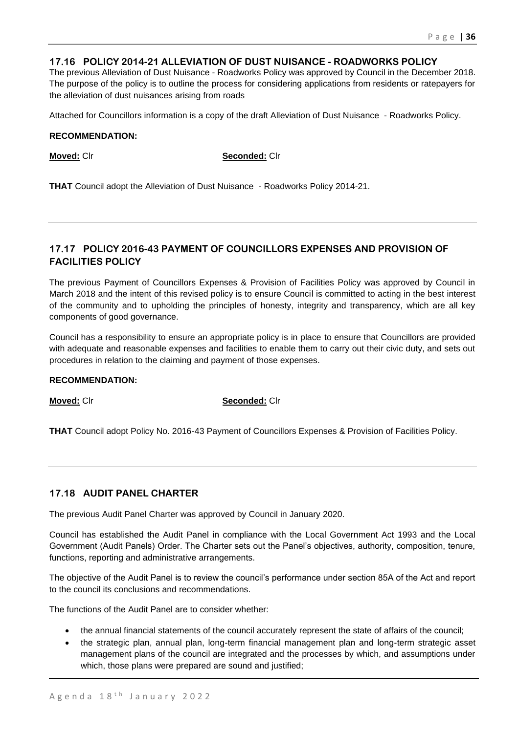# **17.16 POLICY 2014-21 ALLEVIATION OF DUST NUISANCE - ROADWORKS POLICY**

The previous Alleviation of Dust Nuisance - Roadworks Policy was approved by Council in the December 2018. The purpose of the policy is to outline the process for considering applications from residents or ratepayers for the alleviation of dust nuisances arising from roads

Attached for Councillors information is a copy of the draft Alleviation of Dust Nuisance - Roadworks Policy.

## **RECOMMENDATION:**

**Moved:** Clr **Seconded:** Clr

**THAT** Council adopt the Alleviation of Dust Nuisance - Roadworks Policy 2014-21.

# **17.17 POLICY 2016-43 PAYMENT OF COUNCILLORS EXPENSES AND PROVISION OF FACILITIES POLICY**

The previous Payment of Councillors Expenses & Provision of Facilities Policy was approved by Council in March 2018 and the intent of this revised policy is to ensure Council is committed to acting in the best interest of the community and to upholding the principles of honesty, integrity and transparency, which are all key components of good governance.

Council has a responsibility to ensure an appropriate policy is in place to ensure that Councillors are provided with adequate and reasonable expenses and facilities to enable them to carry out their civic duty, and sets out procedures in relation to the claiming and payment of those expenses.

## **RECOMMENDATION:**

**Moved:** Clr **Seconded:** Clr

**THAT** Council adopt Policy No. 2016-43 Payment of Councillors Expenses & Provision of Facilities Policy.

# **17.18 AUDIT PANEL CHARTER**

The previous Audit Panel Charter was approved by Council in January 2020.

Council has established the Audit Panel in compliance with the Local Government Act 1993 and the Local Government (Audit Panels) Order. The Charter sets out the Panel's objectives, authority, composition, tenure, functions, reporting and administrative arrangements.

The objective of the Audit Panel is to review the council's performance under section 85A of the Act and report to the council its conclusions and recommendations.

The functions of the Audit Panel are to consider whether:

- the annual financial statements of the council accurately represent the state of affairs of the council;
- the strategic plan, annual plan, long-term financial management plan and long-term strategic asset management plans of the council are integrated and the processes by which, and assumptions under which, those plans were prepared are sound and justified;